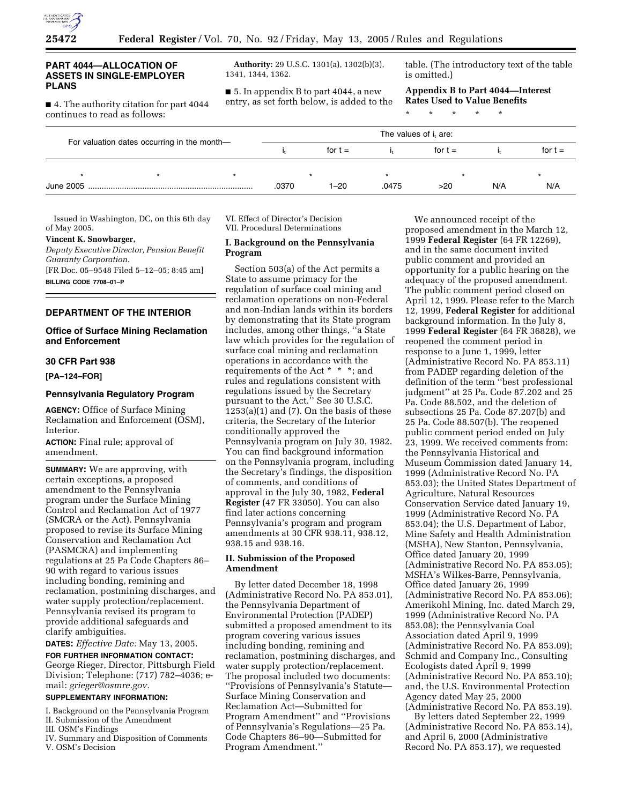

### **PART 4044—ALLOCATION OF ASSETS IN SINGLE-EMPLOYER PLANS**

■ 4. The authority citation for part 4044 continues to read as follows:

**Authority:** 29 U.S.C. 1301(a), 1302(b)(3), 1341, 1344, 1362.

■ 5. In appendix B to part 4044, a new entry, as set forth below, is added to the table. (The introductory text of the table is omitted.)

**Appendix B to Part 4044—Interest Rates Used to Value Benefits**

\* \* \* \* \*

|                                             |  |  | The values of i <sub>t</sub> are: |      |           |     |           |     |  |
|---------------------------------------------|--|--|-----------------------------------|------|-----------|-----|-----------|-----|--|
| For valuation dates occurring in the month- |  |  | for $t =$                         |      | for $t =$ |     | for $t =$ |     |  |
|                                             |  |  |                                   |      |           |     |           |     |  |
| June 2005                                   |  |  | .0370                             | 1–20 | .0475     | >20 | N/A       | N/A |  |

Issued in Washington, DC, on this 6th day of May 2005.

### **Vincent K. Snowbarger,**

*Deputy Executive Director, Pension Benefit Guaranty Corporation.*

[FR Doc. 05–9548 Filed 5–12–05; 8:45 am] **BILLING CODE 7708–01–P**

# **DEPARTMENT OF THE INTERIOR**

### **Office of Surface Mining Reclamation and Enforcement**

# **30 CFR Part 938**

**[PA–124–FOR]** 

### **Pennsylvania Regulatory Program**

**AGENCY:** Office of Surface Mining Reclamation and Enforcement (OSM), Interior.

**ACTION:** Final rule; approval of amendment.

**SUMMARY:** We are approving, with certain exceptions, a proposed amendment to the Pennsylvania program under the Surface Mining Control and Reclamation Act of 1977 (SMCRA or the Act). Pennsylvania proposed to revise its Surface Mining Conservation and Reclamation Act (PASMCRA) and implementing regulations at 25 Pa Code Chapters 86– 90 with regard to various issues including bonding, remining and reclamation, postmining discharges, and water supply protection/replacement. Pennsylvania revised its program to provide additional safeguards and clarify ambiguities.

**DATES:** *Effective Date:* May 13, 2005.

**FOR FURTHER INFORMATION CONTACT:** George Rieger, Director, Pittsburgh Field Division; Telephone: (717) 782–4036; email: *grieger@osmre.gov.*

# **SUPPLEMENTARY INFORMATION:**

I. Background on the Pennsylvania Program II. Submission of the Amendment

- III. OSM's Findings
- IV. Summary and Disposition of Comments V. OSM's Decision

VI. Effect of Director's Decision VII. Procedural Determinations

### **I. Background on the Pennsylvania Program**

Section 503(a) of the Act permits a State to assume primacy for the regulation of surface coal mining and reclamation operations on non-Federal and non-Indian lands within its borders by demonstrating that its State program includes, among other things, ''a State law which provides for the regulation of surface coal mining and reclamation operations in accordance with the requirements of the Act \* \* \*; and rules and regulations consistent with regulations issued by the Secretary pursuant to the Act.'' See 30 U.S.C.  $1253(a)(1)$  and  $(7)$ . On the basis of these criteria, the Secretary of the Interior conditionally approved the Pennsylvania program on July 30, 1982. You can find background information on the Pennsylvania program, including the Secretary's findings, the disposition of comments, and conditions of approval in the July 30, 1982, **Federal Register** (47 FR 33050). You can also find later actions concerning Pennsylvania's program and program amendments at 30 CFR 938.11, 938.12, 938.15 and 938.16.

# **II. Submission of the Proposed Amendment**

By letter dated December 18, 1998 (Administrative Record No. PA 853.01), the Pennsylvania Department of Environmental Protection (PADEP) submitted a proposed amendment to its program covering various issues including bonding, remining and reclamation, postmining discharges, and water supply protection/replacement. The proposal included two documents: ''Provisions of Pennsylvania's Statute— Surface Mining Conservation and Reclamation Act—Submitted for Program Amendment'' and ''Provisions of Pennsylvania's Regulations—25 Pa. Code Chapters 86–90—Submitted for Program Amendment.''

We announced receipt of the proposed amendment in the March 12, 1999 **Federal Register** (64 FR 12269), and in the same document invited public comment and provided an opportunity for a public hearing on the adequacy of the proposed amendment. The public comment period closed on April 12, 1999. Please refer to the March 12, 1999, **Federal Register** for additional background information. In the July 8, 1999 **Federal Register** (64 FR 36828), we reopened the comment period in response to a June 1, 1999, letter (Administrative Record No. PA 853.11) from PADEP regarding deletion of the definition of the term ''best professional judgment'' at 25 Pa. Code 87.202 and 25 Pa. Code 88.502, and the deletion of subsections 25 Pa. Code 87.207(b) and 25 Pa. Code 88.507(b). The reopened public comment period ended on July 23, 1999. We received comments from: the Pennsylvania Historical and Museum Commission dated January 14, 1999 (Administrative Record No. PA 853.03); the United States Department of Agriculture, Natural Resources Conservation Service dated January 19, 1999 (Administrative Record No. PA 853.04); the U.S. Department of Labor, Mine Safety and Health Administration (MSHA), New Stanton, Pennsylvania, Office dated January 20, 1999 (Administrative Record No. PA 853.05); MSHA's Wilkes-Barre, Pennsylvania, Office dated January 26, 1999 (Administrative Record No. PA 853.06); Amerikohl Mining, Inc. dated March 29, 1999 (Administrative Record No. PA 853.08); the Pennsylvania Coal Association dated April 9, 1999 (Administrative Record No. PA 853.09); Schmid and Company Inc., Consulting Ecologists dated April 9, 1999 (Administrative Record No. PA 853.10); and, the U.S. Environmental Protection Agency dated May 25, 2000 (Administrative Record No. PA 853.19).

By letters dated September 22, 1999 (Administrative Record No. PA 853.14), and April 6, 2000 (Administrative Record No. PA 853.17), we requested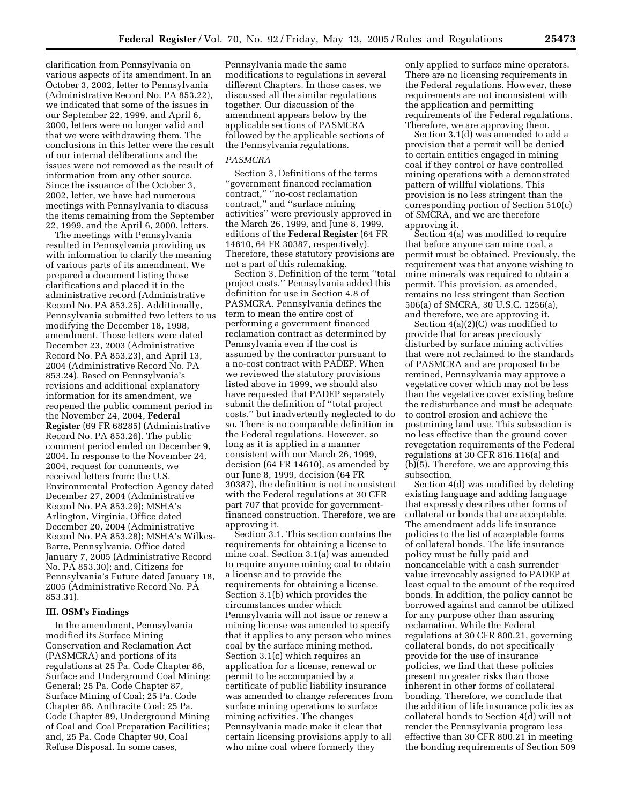clarification from Pennsylvania on various aspects of its amendment. In an October 3, 2002, letter to Pennsylvania (Administrative Record No. PA 853.22), we indicated that some of the issues in our September 22, 1999, and April 6, 2000, letters were no longer valid and that we were withdrawing them. The conclusions in this letter were the result of our internal deliberations and the issues were not removed as the result of information from any other source. Since the issuance of the October 3, 2002, letter, we have had numerous meetings with Pennsylvania to discuss the items remaining from the September 22, 1999, and the April 6, 2000, letters.

The meetings with Pennsylvania resulted in Pennsylvania providing us with information to clarify the meaning of various parts of its amendment. We prepared a document listing those clarifications and placed it in the administrative record (Administrative Record No. PA 853.25). Additionally, Pennsylvania submitted two letters to us modifying the December 18, 1998, amendment. Those letters were dated December 23, 2003 (Administrative Record No. PA 853.23), and April 13, 2004 (Administrative Record No. PA 853.24). Based on Pennsylvania's revisions and additional explanatory information for its amendment, we reopened the public comment period in the November 24, 2004, **Federal Register** (69 FR 68285) (Administrative Record No. PA 853.26). The public comment period ended on December 9, 2004. In response to the November 24, 2004, request for comments, we received letters from: the U.S. Environmental Protection Agency dated December 27, 2004 (Administrative Record No. PA 853.29); MSHA's Arlington, Virginia, Office dated December 20, 2004 (Administrative Record No. PA 853.28); MSHA's Wilkes-Barre, Pennsylvania, Office dated January 7, 2005 (Administrative Record No. PA 853.30); and, Citizens for Pennsylvania's Future dated January 18, 2005 (Administrative Record No. PA 853.31).

# **III. OSM's Findings**

In the amendment, Pennsylvania modified its Surface Mining Conservation and Reclamation Act (PASMCRA) and portions of its regulations at 25 Pa. Code Chapter 86, Surface and Underground Coal Mining: General; 25 Pa. Code Chapter 87, Surface Mining of Coal; 25 Pa. Code Chapter 88, Anthracite Coal; 25 Pa. Code Chapter 89, Underground Mining of Coal and Coal Preparation Facilities; and, 25 Pa. Code Chapter 90, Coal Refuse Disposal. In some cases,

Pennsylvania made the same modifications to regulations in several different Chapters. In those cases, we discussed all the similar regulations together. Our discussion of the amendment appears below by the applicable sections of PASMCRA followed by the applicable sections of the Pennsylvania regulations.

#### *PASMCRA*

Section 3, Definitions of the terms ''government financed reclamation contract,'' ''no-cost reclamation contract,'' and ''surface mining activities'' were previously approved in the March 26, 1999, and June 8, 1999, editions of the **Federal Register** (64 FR 14610, 64 FR 30387, respectively). Therefore, these statutory provisions are not a part of this rulemaking.

Section 3, Definition of the term ''total project costs.'' Pennsylvania added this definition for use in Section 4.8 of PASMCRA. Pennsylvania defines the term to mean the entire cost of performing a government financed reclamation contract as determined by Pennsylvania even if the cost is assumed by the contractor pursuant to a no-cost contract with PADEP. When we reviewed the statutory provisions listed above in 1999, we should also have requested that PADEP separately submit the definition of ''total project costs,'' but inadvertently neglected to do so. There is no comparable definition in the Federal regulations. However, so long as it is applied in a manner consistent with our March 26, 1999, decision (64 FR 14610), as amended by our June 8, 1999, decision (64 FR 30387), the definition is not inconsistent with the Federal regulations at 30 CFR part 707 that provide for governmentfinanced construction. Therefore, we are approving it.

Section 3.1. This section contains the requirements for obtaining a license to mine coal. Section 3.1(a) was amended to require anyone mining coal to obtain a license and to provide the requirements for obtaining a license. Section 3.1(b) which provides the circumstances under which Pennsylvania will not issue or renew a mining license was amended to specify that it applies to any person who mines coal by the surface mining method. Section 3.1(c) which requires an application for a license, renewal or permit to be accompanied by a certificate of public liability insurance was amended to change references from surface mining operations to surface mining activities. The changes Pennsylvania made make it clear that certain licensing provisions apply to all who mine coal where formerly they

only applied to surface mine operators. There are no licensing requirements in the Federal regulations. However, these requirements are not inconsistent with the application and permitting requirements of the Federal regulations. Therefore, we are approving them.

Section 3.1(d) was amended to add a provision that a permit will be denied to certain entities engaged in mining coal if they control or have controlled mining operations with a demonstrated pattern of willful violations. This provision is no less stringent than the corresponding portion of Section 510(c) of SMCRA, and we are therefore approving it.

Section 4(a) was modified to require that before anyone can mine coal, a permit must be obtained. Previously, the requirement was that anyone wishing to mine minerals was required to obtain a permit. This provision, as amended, remains no less stringent than Section 506(a) of SMCRA, 30 U.S.C. 1256(a), and therefore, we are approving it.

Section 4(a)(2)(C) was modified to provide that for areas previously disturbed by surface mining activities that were not reclaimed to the standards of PASMCRA and are proposed to be remined, Pennsylvania may approve a vegetative cover which may not be less than the vegetative cover existing before the redisturbance and must be adequate to control erosion and achieve the postmining land use. This subsection is no less effective than the ground cover revegetation requirements of the Federal regulations at 30 CFR 816.116(a) and (b)(5). Therefore, we are approving this subsection.

Section 4(d) was modified by deleting existing language and adding language that expressly describes other forms of collateral or bonds that are acceptable. The amendment adds life insurance policies to the list of acceptable forms of collateral bonds. The life insurance policy must be fully paid and noncancelable with a cash surrender value irrevocably assigned to PADEP at least equal to the amount of the required bonds. In addition, the policy cannot be borrowed against and cannot be utilized for any purpose other than assuring reclamation. While the Federal regulations at 30 CFR 800.21, governing collateral bonds, do not specifically provide for the use of insurance policies, we find that these policies present no greater risks than those inherent in other forms of collateral bonding. Therefore, we conclude that the addition of life insurance policies as collateral bonds to Section 4(d) will not render the Pennsylvania program less effective than 30 CFR 800.21 in meeting the bonding requirements of Section 509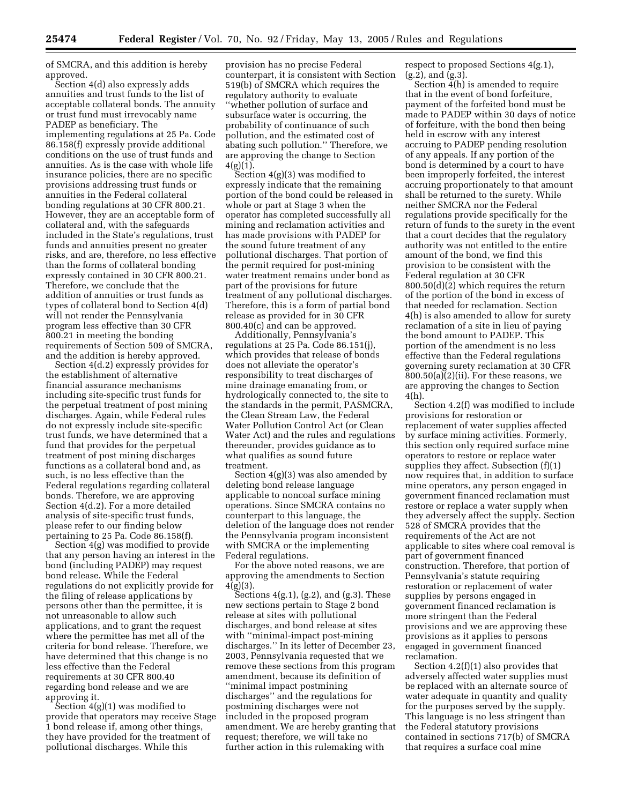of SMCRA, and this addition is hereby approved.

Section 4(d) also expressly adds annuities and trust funds to the list of acceptable collateral bonds. The annuity or trust fund must irrevocably name PADEP as beneficiary. The implementing regulations at 25 Pa. Code 86.158(f) expressly provide additional conditions on the use of trust funds and annuities. As is the case with whole life insurance policies, there are no specific provisions addressing trust funds or annuities in the Federal collateral bonding regulations at 30 CFR 800.21. However, they are an acceptable form of collateral and, with the safeguards included in the State's regulations, trust funds and annuities present no greater risks, and are, therefore, no less effective than the forms of collateral bonding expressly contained in 30 CFR 800.21. Therefore, we conclude that the addition of annuities or trust funds as types of collateral bond to Section 4(d) will not render the Pennsylvania program less effective than 30 CFR 800.21 in meeting the bonding requirements of Section 509 of SMCRA, and the addition is hereby approved.

Section 4(d.2) expressly provides for the establishment of alternative financial assurance mechanisms including site-specific trust funds for the perpetual treatment of post mining discharges. Again, while Federal rules do not expressly include site-specific trust funds, we have determined that a fund that provides for the perpetual treatment of post mining discharges functions as a collateral bond and, as such, is no less effective than the Federal regulations regarding collateral bonds. Therefore, we are approving Section 4(d.2). For a more detailed analysis of site-specific trust funds, please refer to our finding below pertaining to 25 Pa. Code 86.158(f).

Section 4(g) was modified to provide that any person having an interest in the bond (including PADEP) may request bond release. While the Federal regulations do not explicitly provide for the filing of release applications by persons other than the permittee, it is not unreasonable to allow such applications, and to grant the request where the permittee has met all of the criteria for bond release. Therefore, we have determined that this change is no less effective than the Federal requirements at 30 CFR 800.40 regarding bond release and we are approving it.

Section 4(g)(1) was modified to provide that operators may receive Stage 1 bond release if, among other things, they have provided for the treatment of pollutional discharges. While this

provision has no precise Federal counterpart, it is consistent with Section 519(b) of SMCRA which requires the regulatory authority to evaluate ''whether pollution of surface and subsurface water is occurring, the probability of continuance of such pollution, and the estimated cost of abating such pollution.'' Therefore, we are approving the change to Section  $4(g)(1)$ .

Section 4(g)(3) was modified to expressly indicate that the remaining portion of the bond could be released in whole or part at Stage 3 when the operator has completed successfully all mining and reclamation activities and has made provisions with PADEP for the sound future treatment of any pollutional discharges. That portion of the permit required for post-mining water treatment remains under bond as part of the provisions for future treatment of any pollutional discharges. Therefore, this is a form of partial bond release as provided for in 30 CFR 800.40(c) and can be approved.

Additionally, Pennsylvania's regulations at 25 Pa. Code 86.151(j), which provides that release of bonds does not alleviate the operator's responsibility to treat discharges of mine drainage emanating from, or hydrologically connected to, the site to the standards in the permit, PASMCRA, the Clean Stream Law, the Federal Water Pollution Control Act (or Clean Water Act) and the rules and regulations thereunder, provides guidance as to what qualifies as sound future treatment.

Section 4(g)(3) was also amended by deleting bond release language applicable to noncoal surface mining operations. Since SMCRA contains no counterpart to this language, the deletion of the language does not render the Pennsylvania program inconsistent with SMCRA or the implementing Federal regulations.

For the above noted reasons, we are approving the amendments to Section 4(g)(3).

Sections  $4(g.1)$ ,  $(g.2)$ , and  $(g.3)$ . These new sections pertain to Stage 2 bond release at sites with pollutional discharges, and bond release at sites with ''minimal-impact post-mining discharges.'' In its letter of December 23, 2003, Pennsylvania requested that we remove these sections from this program amendment, because its definition of ''minimal impact postmining discharges'' and the regulations for postmining discharges were not included in the proposed program amendment. We are hereby granting that request; therefore, we will take no further action in this rulemaking with

respect to proposed Sections 4(g.1),  $(g.2)$ , and  $(g.3)$ .

Section 4(h) is amended to require that in the event of bond forfeiture, payment of the forfeited bond must be made to PADEP within 30 days of notice of forfeiture, with the bond then being held in escrow with any interest accruing to PADEP pending resolution of any appeals. If any portion of the bond is determined by a court to have been improperly forfeited, the interest accruing proportionately to that amount shall be returned to the surety. While neither SMCRA nor the Federal regulations provide specifically for the return of funds to the surety in the event that a court decides that the regulatory authority was not entitled to the entire amount of the bond, we find this provision to be consistent with the Federal regulation at 30 CFR 800.50(d)(2) which requires the return of the portion of the bond in excess of that needed for reclamation. Section 4(h) is also amended to allow for surety reclamation of a site in lieu of paying the bond amount to PADEP. This portion of the amendment is no less effective than the Federal regulations governing surety reclamation at 30 CFR  $800.50(a)(2)(ii)$ . For these reasons, we are approving the changes to Section 4(h).

Section 4.2(f) was modified to include provisions for restoration or replacement of water supplies affected by surface mining activities. Formerly, this section only required surface mine operators to restore or replace water supplies they affect. Subsection (f)(1) now requires that, in addition to surface mine operators, any person engaged in government financed reclamation must restore or replace a water supply when they adversely affect the supply. Section 528 of SMCRA provides that the requirements of the Act are not applicable to sites where coal removal is part of government financed construction. Therefore, that portion of Pennsylvania's statute requiring restoration or replacement of water supplies by persons engaged in government financed reclamation is more stringent than the Federal provisions and we are approving these provisions as it applies to persons engaged in government financed reclamation.

Section 4.2(f)(1) also provides that adversely affected water supplies must be replaced with an alternate source of water adequate in quantity and quality for the purposes served by the supply. This language is no less stringent than the Federal statutory provisions contained in sections 717(b) of SMCRA that requires a surface coal mine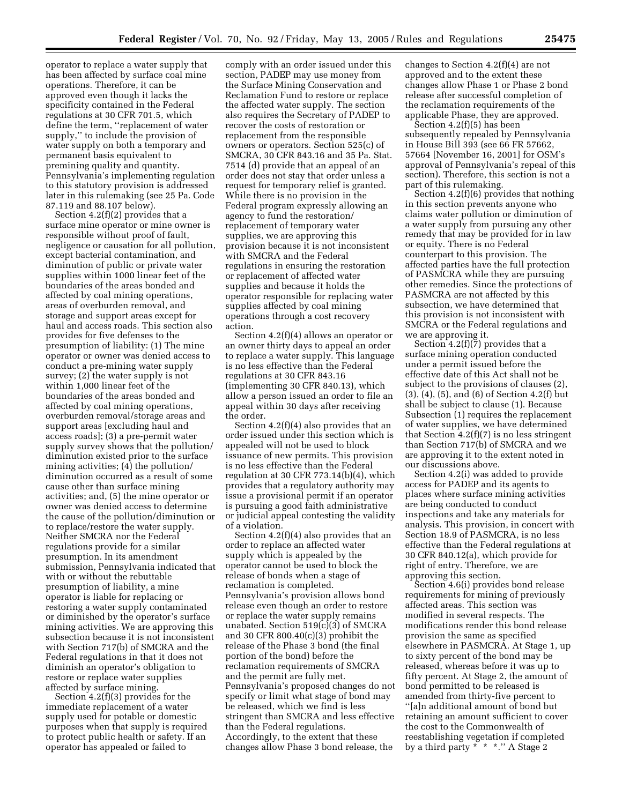operator to replace a water supply that has been affected by surface coal mine operations. Therefore, it can be approved even though it lacks the specificity contained in the Federal regulations at 30 CFR 701.5, which define the term, ''replacement of water supply,'' to include the provision of water supply on both a temporary and permanent basis equivalent to premining quality and quantity. Pennsylvania's implementing regulation to this statutory provision is addressed later in this rulemaking (see 25 Pa. Code 87.119 and 88.107 below).

Section 4.2(f)(2) provides that a surface mine operator or mine owner is responsible without proof of fault, negligence or causation for all pollution, except bacterial contamination, and diminution of public or private water supplies within 1000 linear feet of the boundaries of the areas bonded and affected by coal mining operations, areas of overburden removal, and storage and support areas except for haul and access roads. This section also provides for five defenses to the presumption of liability: (1) The mine operator or owner was denied access to conduct a pre-mining water supply survey; (2) the water supply is not within 1,000 linear feet of the boundaries of the areas bonded and affected by coal mining operations, overburden removal/storage areas and support areas [excluding haul and access roads]; (3) a pre-permit water supply survey shows that the pollution/ diminution existed prior to the surface mining activities; (4) the pollution/ diminution occurred as a result of some cause other than surface mining activities; and, (5) the mine operator or owner was denied access to determine the cause of the pollution/diminution or to replace/restore the water supply. Neither SMCRA nor the Federal regulations provide for a similar presumption. In its amendment submission, Pennsylvania indicated that with or without the rebuttable presumption of liability, a mine operator is liable for replacing or restoring a water supply contaminated or diminished by the operator's surface mining activities. We are approving this subsection because it is not inconsistent with Section 717(b) of SMCRA and the Federal regulations in that it does not diminish an operator's obligation to restore or replace water supplies affected by surface mining.

Section 4.2(f)(3) provides for the immediate replacement of a water supply used for potable or domestic purposes when that supply is required to protect public health or safety. If an operator has appealed or failed to

comply with an order issued under this section, PADEP may use money from the Surface Mining Conservation and Reclamation Fund to restore or replace the affected water supply. The section also requires the Secretary of PADEP to recover the costs of restoration or replacement from the responsible owners or operators. Section 525(c) of SMCRA, 30 CFR 843.16 and 35 Pa. Stat. 7514 (d) provide that an appeal of an order does not stay that order unless a request for temporary relief is granted. While there is no provision in the Federal program expressly allowing an agency to fund the restoration/ replacement of temporary water supplies, we are approving this provision because it is not inconsistent with SMCRA and the Federal regulations in ensuring the restoration or replacement of affected water supplies and because it holds the operator responsible for replacing water supplies affected by coal mining operations through a cost recovery action.

Section 4.2(f)(4) allows an operator or an owner thirty days to appeal an order to replace a water supply. This language is no less effective than the Federal regulations at 30 CFR 843.16 (implementing 30 CFR 840.13), which allow a person issued an order to file an appeal within 30 days after receiving the order.

Section 4.2(f)(4) also provides that an order issued under this section which is appealed will not be used to block issuance of new permits. This provision is no less effective than the Federal regulation at 30 CFR 773.14(b)(4), which provides that a regulatory authority may issue a provisional permit if an operator is pursuing a good faith administrative or judicial appeal contesting the validity of a violation.

Section 4.2(f)(4) also provides that an order to replace an affected water supply which is appealed by the operator cannot be used to block the release of bonds when a stage of reclamation is completed. Pennsylvania's provision allows bond release even though an order to restore or replace the water supply remains unabated. Section 519(c)(3) of SMCRA and 30 CFR 800.40(c)(3) prohibit the release of the Phase 3 bond (the final portion of the bond) before the reclamation requirements of SMCRA and the permit are fully met. Pennsylvania's proposed changes do not specify or limit what stage of bond may be released, which we find is less stringent than SMCRA and less effective than the Federal regulations. Accordingly, to the extent that these changes allow Phase 3 bond release, the

changes to Section 4.2(f)(4) are not approved and to the extent these changes allow Phase 1 or Phase 2 bond release after successful completion of the reclamation requirements of the applicable Phase, they are approved.

Section 4.2(f)(5) has been subsequently repealed by Pennsylvania in House Bill 393 (see 66 FR 57662, 57664 [November 16, 2001] for OSM's approval of Pennsylvania's repeal of this section). Therefore, this section is not a part of this rulemaking.

Section 4.2(f)(6) provides that nothing in this section prevents anyone who claims water pollution or diminution of a water supply from pursuing any other remedy that may be provided for in law or equity. There is no Federal counterpart to this provision. The affected parties have the full protection of PASMCRA while they are pursuing other remedies. Since the protections of PASMCRA are not affected by this subsection, we have determined that this provision is not inconsistent with SMCRA or the Federal regulations and we are approving it.

Section  $4.2(f)(7)$  provides that a surface mining operation conducted under a permit issued before the effective date of this Act shall not be subject to the provisions of clauses (2), (3), (4), (5), and (6) of Section 4.2(f) but shall be subject to clause (1). Because Subsection (1) requires the replacement of water supplies, we have determined that Section  $4.2(f)(7)$  is no less stringent than Section 717(b) of SMCRA and we are approving it to the extent noted in our discussions above.

Section 4.2(i) was added to provide access for PADEP and its agents to places where surface mining activities are being conducted to conduct inspections and take any materials for analysis. This provision, in concert with Section 18.9 of PASMCRA, is no less effective than the Federal regulations at 30 CFR 840.12(a), which provide for right of entry. Therefore, we are approving this section.

Section 4.6(i) provides bond release requirements for mining of previously affected areas. This section was modified in several respects. The modifications render this bond release provision the same as specified elsewhere in PASMCRA. At Stage 1, up to sixty percent of the bond may be released, whereas before it was up to fifty percent. At Stage 2, the amount of bond permitted to be released is amended from thirty-five percent to ''[a]n additional amount of bond but retaining an amount sufficient to cover the cost to the Commonwealth of reestablishing vegetation if completed by a third party \* \* \*.'' A Stage 2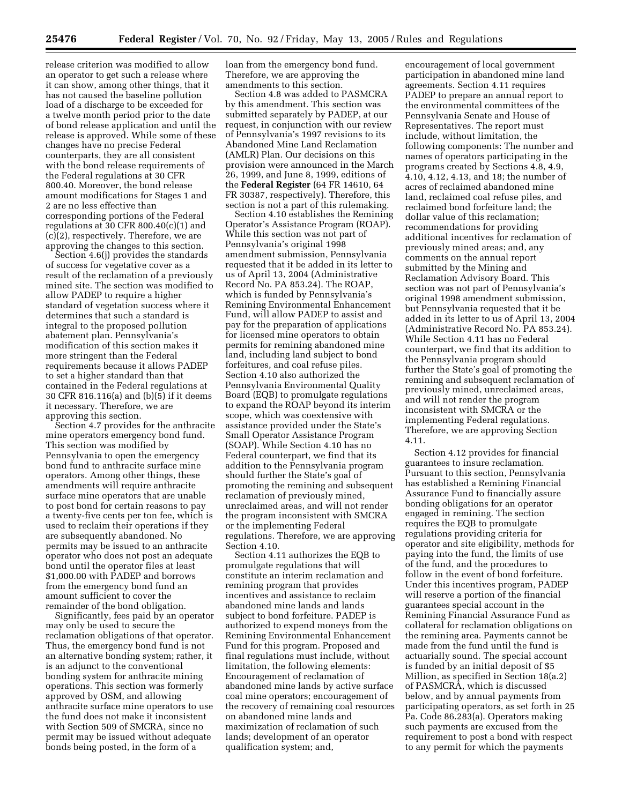release criterion was modified to allow an operator to get such a release where it can show, among other things, that it has not caused the baseline pollution load of a discharge to be exceeded for a twelve month period prior to the date of bond release application and until the release is approved. While some of these changes have no precise Federal counterparts, they are all consistent with the bond release requirements of the Federal regulations at 30 CFR 800.40. Moreover, the bond release amount modifications for Stages 1 and 2 are no less effective than corresponding portions of the Federal regulations at 30 CFR 800.40(c)(1) and (c)(2), respectively. Therefore, we are approving the changes to this section.

Section 4.6(j) provides the standards of success for vegetative cover as a result of the reclamation of a previously mined site. The section was modified to allow PADEP to require a higher standard of vegetation success where it determines that such a standard is integral to the proposed pollution abatement plan. Pennsylvania's modification of this section makes it more stringent than the Federal requirements because it allows PADEP to set a higher standard than that contained in the Federal regulations at 30 CFR 816.116(a) and (b)(5) if it deems it necessary. Therefore, we are approving this section.

Section 4.7 provides for the anthracite mine operators emergency bond fund. This section was modified by Pennsylvania to open the emergency bond fund to anthracite surface mine operators. Among other things, these amendments will require anthracite surface mine operators that are unable to post bond for certain reasons to pay a twenty-five cents per ton fee, which is used to reclaim their operations if they are subsequently abandoned. No permits may be issued to an anthracite operator who does not post an adequate bond until the operator files at least \$1,000.00 with PADEP and borrows from the emergency bond fund an amount sufficient to cover the remainder of the bond obligation.

Significantly, fees paid by an operator may only be used to secure the reclamation obligations of that operator. Thus, the emergency bond fund is not an alternative bonding system; rather, it is an adjunct to the conventional bonding system for anthracite mining operations. This section was formerly approved by OSM, and allowing anthracite surface mine operators to use the fund does not make it inconsistent with Section 509 of SMCRA, since no permit may be issued without adequate bonds being posted, in the form of a

loan from the emergency bond fund. Therefore, we are approving the amendments to this section.

Section 4.8 was added to PASMCRA by this amendment. This section was submitted separately by PADEP, at our request, in conjunction with our review of Pennsylvania's 1997 revisions to its Abandoned Mine Land Reclamation (AMLR) Plan. Our decisions on this provision were announced in the March 26, 1999, and June 8, 1999, editions of the **Federal Register** (64 FR 14610, 64 FR 30387, respectively). Therefore, this section is not a part of this rulemaking.

Section 4.10 establishes the Remining Operator's Assistance Program (ROAP). While this section was not part of Pennsylvania's original 1998 amendment submission, Pennsylvania requested that it be added in its letter to us of April 13, 2004 (Administrative Record No. PA 853.24). The ROAP, which is funded by Pennsylvania's Remining Environmental Enhancement Fund, will allow PADEP to assist and pay for the preparation of applications for licensed mine operators to obtain permits for remining abandoned mine land, including land subject to bond forfeitures, and coal refuse piles. Section 4.10 also authorized the Pennsylvania Environmental Quality Board (EQB) to promulgate regulations to expand the ROAP beyond its interim scope, which was coextensive with assistance provided under the State's Small Operator Assistance Program (SOAP). While Section 4.10 has no Federal counterpart, we find that its addition to the Pennsylvania program should further the State's goal of promoting the remining and subsequent reclamation of previously mined, unreclaimed areas, and will not render the program inconsistent with SMCRA or the implementing Federal regulations. Therefore, we are approving Section 4.10.

Section 4.11 authorizes the EQB to promulgate regulations that will constitute an interim reclamation and remining program that provides incentives and assistance to reclaim abandoned mine lands and lands subject to bond forfeiture. PADEP is authorized to expend moneys from the Remining Environmental Enhancement Fund for this program. Proposed and final regulations must include, without limitation, the following elements: Encouragement of reclamation of abandoned mine lands by active surface coal mine operators; encouragement of the recovery of remaining coal resources on abandoned mine lands and maximization of reclamation of such lands; development of an operator qualification system; and,

encouragement of local government participation in abandoned mine land agreements. Section 4.11 requires PADEP to prepare an annual report to the environmental committees of the Pennsylvania Senate and House of Representatives. The report must include, without limitation, the following components: The number and names of operators participating in the programs created by Sections 4.8, 4.9, 4.10, 4.12, 4.13, and 18; the number of acres of reclaimed abandoned mine land, reclaimed coal refuse piles, and reclaimed bond forfeiture land; the dollar value of this reclamation; recommendations for providing additional incentives for reclamation of previously mined areas; and, any comments on the annual report submitted by the Mining and Reclamation Advisory Board. This section was not part of Pennsylvania's original 1998 amendment submission, but Pennsylvania requested that it be added in its letter to us of April 13, 2004 (Administrative Record No. PA 853.24). While Section 4.11 has no Federal counterpart, we find that its addition to the Pennsylvania program should further the State's goal of promoting the remining and subsequent reclamation of previously mined, unreclaimed areas, and will not render the program inconsistent with SMCRA or the implementing Federal regulations. Therefore, we are approving Section 4.11.

Section 4.12 provides for financial guarantees to insure reclamation. Pursuant to this section, Pennsylvania has established a Remining Financial Assurance Fund to financially assure bonding obligations for an operator engaged in remining. The section requires the EQB to promulgate regulations providing criteria for operator and site eligibility, methods for paying into the fund, the limits of use of the fund, and the procedures to follow in the event of bond forfeiture. Under this incentives program, PADEP will reserve a portion of the financial guarantees special account in the Remining Financial Assurance Fund as collateral for reclamation obligations on the remining area. Payments cannot be made from the fund until the fund is actuarially sound. The special account is funded by an initial deposit of \$5 Million, as specified in Section 18(a.2) of PASMCRA, which is discussed below, and by annual payments from participating operators, as set forth in 25 Pa. Code 86.283(a). Operators making such payments are excused from the requirement to post a bond with respect to any permit for which the payments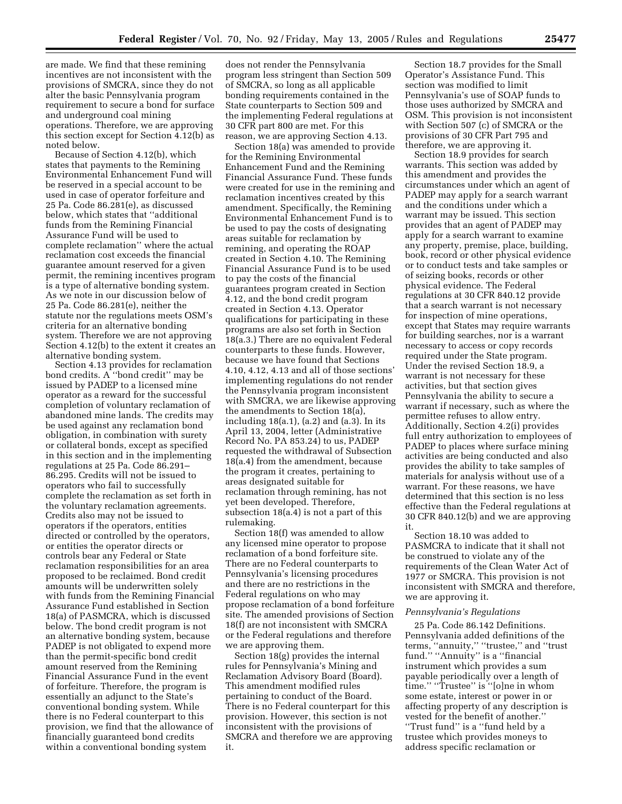are made. We find that these remining incentives are not inconsistent with the provisions of SMCRA, since they do not alter the basic Pennsylvania program requirement to secure a bond for surface and underground coal mining operations. Therefore, we are approving this section except for Section 4.12(b) as noted below.

Because of Section 4.12(b), which states that payments to the Remining Environmental Enhancement Fund will be reserved in a special account to be used in case of operator forfeiture and 25 Pa. Code 86.281(e), as discussed below, which states that ''additional funds from the Remining Financial Assurance Fund will be used to complete reclamation'' where the actual reclamation cost exceeds the financial guarantee amount reserved for a given permit, the remining incentives program is a type of alternative bonding system. As we note in our discussion below of 25 Pa. Code 86.281(e), neither the statute nor the regulations meets OSM's criteria for an alternative bonding system. Therefore we are not approving Section 4.12(b) to the extent it creates an alternative bonding system.

Section 4.13 provides for reclamation bond credits. A ''bond credit'' may be issued by PADEP to a licensed mine operator as a reward for the successful completion of voluntary reclamation of abandoned mine lands. The credits may be used against any reclamation bond obligation, in combination with surety or collateral bonds, except as specified in this section and in the implementing regulations at 25 Pa. Code 86.291– 86.295. Credits will not be issued to operators who fail to successfully complete the reclamation as set forth in the voluntary reclamation agreements. Credits also may not be issued to operators if the operators, entities directed or controlled by the operators, or entities the operator directs or controls bear any Federal or State reclamation responsibilities for an area proposed to be reclaimed. Bond credit amounts will be underwritten solely with funds from the Remining Financial Assurance Fund established in Section 18(a) of PASMCRA, which is discussed below. The bond credit program is not an alternative bonding system, because PADEP is not obligated to expend more than the permit-specific bond credit amount reserved from the Remining Financial Assurance Fund in the event of forfeiture. Therefore, the program is essentially an adjunct to the State's conventional bonding system. While there is no Federal counterpart to this provision, we find that the allowance of financially guaranteed bond credits within a conventional bonding system

does not render the Pennsylvania program less stringent than Section 509 of SMCRA, so long as all applicable bonding requirements contained in the State counterparts to Section 509 and the implementing Federal regulations at 30 CFR part 800 are met. For this reason, we are approving Section 4.13.

Section 18(a) was amended to provide for the Remining Environmental Enhancement Fund and the Remining Financial Assurance Fund. These funds were created for use in the remining and reclamation incentives created by this amendment. Specifically, the Remining Environmental Enhancement Fund is to be used to pay the costs of designating areas suitable for reclamation by remining, and operating the ROAP created in Section 4.10. The Remining Financial Assurance Fund is to be used to pay the costs of the financial guarantees program created in Section 4.12, and the bond credit program created in Section 4.13. Operator qualifications for participating in these programs are also set forth in Section 18(a.3.) There are no equivalent Federal counterparts to these funds. However, because we have found that Sections 4.10, 4.12, 4.13 and all of those sections' implementing regulations do not render the Pennsylvania program inconsistent with SMCRA, we are likewise approving the amendments to Section 18(a), including  $18(a.1)$ ,  $(a.2)$  and  $(a.3)$ . In its April 13, 2004, letter (Administrative Record No. PA 853.24) to us, PADEP requested the withdrawal of Subsection 18(a.4) from the amendment, because the program it creates, pertaining to areas designated suitable for reclamation through remining, has not yet been developed. Therefore, subsection 18(a.4) is not a part of this rulemaking.

Section 18(f) was amended to allow any licensed mine operator to propose reclamation of a bond forfeiture site. There are no Federal counterparts to Pennsylvania's licensing procedures and there are no restrictions in the Federal regulations on who may propose reclamation of a bond forfeiture site. The amended provisions of Section 18(f) are not inconsistent with SMCRA or the Federal regulations and therefore we are approving them.

Section 18(g) provides the internal rules for Pennsylvania's Mining and Reclamation Advisory Board (Board). This amendment modified rules pertaining to conduct of the Board. There is no Federal counterpart for this provision. However, this section is not inconsistent with the provisions of SMCRA and therefore we are approving it.

Section 18.7 provides for the Small Operator's Assistance Fund. This section was modified to limit Pennsylvania's use of SOAP funds to those uses authorized by SMCRA and OSM. This provision is not inconsistent with Section 507 (c) of SMCRA or the provisions of 30 CFR Part 795 and therefore, we are approving it.

Section 18.9 provides for search warrants. This section was added by this amendment and provides the circumstances under which an agent of PADEP may apply for a search warrant and the conditions under which a warrant may be issued. This section provides that an agent of PADEP may apply for a search warrant to examine any property, premise, place, building, book, record or other physical evidence or to conduct tests and take samples or of seizing books, records or other physical evidence. The Federal regulations at 30 CFR 840.12 provide that a search warrant is not necessary for inspection of mine operations, except that States may require warrants for building searches, nor is a warrant necessary to access or copy records required under the State program. Under the revised Section 18.9, a warrant is not necessary for these activities, but that section gives Pennsylvania the ability to secure a warrant if necessary, such as where the permittee refuses to allow entry. Additionally, Section 4.2(i) provides full entry authorization to employees of PADEP to places where surface mining activities are being conducted and also provides the ability to take samples of materials for analysis without use of a warrant. For these reasons, we have determined that this section is no less effective than the Federal regulations at 30 CFR 840.12(b) and we are approving it.

Section 18.10 was added to PASMCRA to indicate that it shall not be construed to violate any of the requirements of the Clean Water Act of 1977 or SMCRA. This provision is not inconsistent with SMCRA and therefore, we are approving it.

#### *Pennsylvania's Regulations*

25 Pa. Code 86.142 Definitions. Pennsylvania added definitions of the terms, ''annuity,'' ''trustee,'' and ''trust fund." "Annuity" is a "financial instrument which provides a sum payable periodically over a length of time.'' ''Trustee'' is ''[o]ne in whom some estate, interest or power in or affecting property of any description is vested for the benefit of another.'' ''Trust fund'' is a ''fund held by a trustee which provides moneys to address specific reclamation or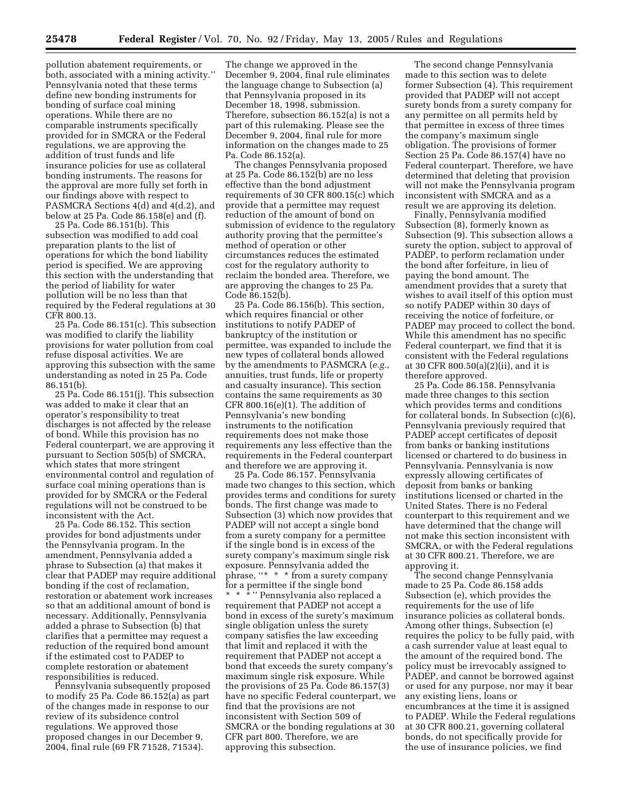pollution abatement requirements, or both, associated with a mining activity.'' Pennsylvania noted that these terms define new bonding instruments for bonding of surface coal mining operations. While there are no comparable instruments specifically provided for in SMCRA or the Federal regulations, we are approving the addition of trust funds and life insurance policies for use as collateral bonding instruments. The reasons for the approval are more fully set forth in our findings above with respect to PASMCRA Sections 4(d) and 4(d.2), and below at 25 Pa. Code 86.158(e) and (f).

25 Pa. Code 86.151(b). This subsection was modified to add coal preparation plants to the list of operations for which the bond liability period is specified. We are approving this section with the understanding that the period of liability for water pollution will be no less than that required by the Federal regulations at 30 CFR 800.13.

25 Pa. Code 86.151(c). This subsection was modified to clarify the liability provisions for water pollution from coal refuse disposal activities. We are approving this subsection with the same understanding as noted in 25 Pa. Code 86.151(b).

25 Pa. Code 86.151(j). This subsection was added to make it clear that an operator's responsibility to treat discharges is not affected by the release of bond. While this provision has no Federal counterpart, we are approving it pursuant to Section 505(b) of SMCRA, which states that more stringent environmental control and regulation of surface coal mining operations than is provided for by SMCRA or the Federal regulations will not be construed to be inconsistent with the Act.

25 Pa. Code 86.152. This section provides for bond adjustments under the Pennsylvania program. In the amendment, Pennsylvania added a phrase to Subsection (a) that makes it clear that PADEP may require additional bonding if the cost of reclamation, restoration or abatement work increases so that an additional amount of bond is necessary. Additionally, Pennsylvania added a phrase to Subsection (b) that clarifies that a permittee may request a reduction of the required bond amount if the estimated cost to PADEP to complete restoration or abatement responsibilities is reduced.

Pennsylvania subsequently proposed to modify 25 Pa. Code 86.152(a) as part of the changes made in response to our review of its subsidence control regulations. We approved those proposed changes in our December 9, 2004, final rule (69 FR 71528, 71534).

The change we approved in the December 9, 2004, final rule eliminates the language change to Subsection (a) that Pennsylvania proposed in its December 18, 1998, submission. Therefore, subsection 86.152(a) is not a part of this rulemaking. Please see the December 9, 2004, final rule for more information on the changes made to 25 Pa. Code 86.152(a).

The changes Pennsylvania proposed at 25 Pa. Code 86.152(b) are no less effective than the bond adjustment requirements of 30 CFR 800.15(c) which provide that a permittee may request reduction of the amount of bond on submission of evidence to the regulatory authority proving that the permittee's method of operation or other circumstances reduces the estimated cost for the regulatory authority to reclaim the bonded area. Therefore, we are approving the changes to 25 Pa. Code 86.152(b).

25 Pa. Code 86.156(b). This section, which requires financial or other institutions to notify PADEP of bankruptcy of the institution or permittee, was expanded to include the new types of collateral bonds allowed by the amendments to PASMCRA (*e.g.*, annuities, trust funds, life or property and casualty insurance). This section contains the same requirements as 30 CFR 800.16(e)(1). The addition of Pennsylvania's new bonding instruments to the notification requirements does not make those requirements any less effective than the requirements in the Federal counterpart and therefore we are approving it.

25 Pa. Code 86.157. Pennsylvania made two changes to this section, which provides terms and conditions for surety bonds. The first change was made to Subsection (3) which now provides that PADEP will not accept a single bond from a surety company for a permittee if the single bond is in excess of the surety company's maximum single risk exposure. Pennsylvania added the phrase, ''\* \* \* from a surety company for a permittee if the single bond \* \* \* " Pennsylvania also replaced a requirement that PADEP not accept a bond in excess of the surety's maximum single obligation unless the surety company satisfies the law exceeding that limit and replaced it with the requirement that PADEP not accept a bond that exceeds the surety company's maximum single risk exposure. While the provisions of 25 Pa. Code 86.157(3) have no specific Federal counterpart, we find that the provisions are not inconsistent with Section 509 of SMCRA or the bonding regulations at 30 CFR part 800. Therefore, we are approving this subsection.

The second change Pennsylvania made to this section was to delete former Subsection (4). This requirement provided that PADEP will not accept surety bonds from a surety company for any permittee on all permits held by that permittee in excess of three times the company's maximum single obligation. The provisions of former Section 25 Pa. Code 86.157(4) have no Federal counterpart. Therefore, we have determined that deleting that provision will not make the Pennsylvania program inconsistent with SMCRA and as a result we are approving its deletion.

Finally, Pennsylvania modified Subsection (8), formerly known as Subsection (9). This subsection allows a surety the option, subject to approval of PADEP, to perform reclamation under the bond after forfeiture, in lieu of paying the bond amount. The amendment provides that a surety that wishes to avail itself of this option must so notify PADEP within 30 days of receiving the notice of forfeiture, or PADEP may proceed to collect the bond. While this amendment has no specific Federal counterpart, we find that it is consistent with the Federal regulations at 30 CFR 800.50(a)(2)(ii), and it is therefore approved.

25 Pa. Code 86.158. Pennsylvania made three changes to this section which provides terms and conditions for collateral bonds. In Subsection (c)(6), Pennsylvania previously required that PADEP accept certificates of deposit from banks or banking institutions licensed or chartered to do business in Pennsylvania. Pennsylvania is now expressly allowing certificates of deposit from banks or banking institutions licensed or charted in the United States. There is no Federal counterpart to this requirement and we have determined that the change will not make this section inconsistent with SMCRA, or with the Federal regulations at 30 CFR 800.21. Therefore, we are approving it.

The second change Pennsylvania made to 25 Pa. Code 86.158 adds Subsection (e), which provides the requirements for the use of life insurance policies as collateral bonds. Among other things, Subsection (e) requires the policy to be fully paid, with a cash surrender value at least equal to the amount of the required bond. The policy must be irrevocably assigned to PADEP, and cannot be borrowed against or used for any purpose, nor may it bear any existing liens, loans or encumbrances at the time it is assigned to PADEP. While the Federal regulations at 30 CFR 800.21, governing collateral bonds, do not specifically provide for the use of insurance policies, we find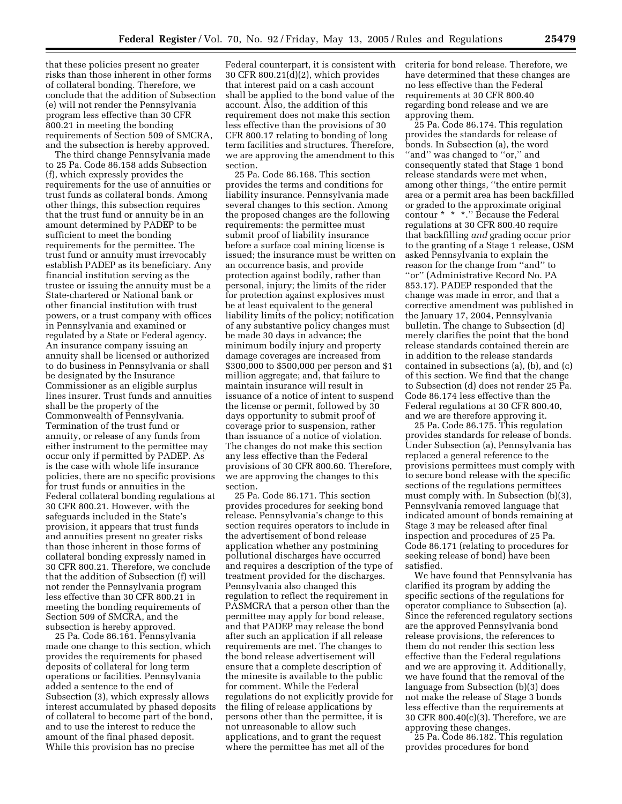that these policies present no greater risks than those inherent in other forms of collateral bonding. Therefore, we conclude that the addition of Subsection (e) will not render the Pennsylvania program less effective than 30 CFR 800.21 in meeting the bonding requirements of Section 509 of SMCRA, and the subsection is hereby approved.

The third change Pennsylvania made to 25 Pa. Code 86.158 adds Subsection (f), which expressly provides the requirements for the use of annuities or trust funds as collateral bonds. Among other things, this subsection requires that the trust fund or annuity be in an amount determined by PADEP to be sufficient to meet the bonding requirements for the permittee. The trust fund or annuity must irrevocably establish PADEP as its beneficiary. Any financial institution serving as the trustee or issuing the annuity must be a State-chartered or National bank or other financial institution with trust powers, or a trust company with offices in Pennsylvania and examined or regulated by a State or Federal agency. An insurance company issuing an annuity shall be licensed or authorized to do business in Pennsylvania or shall be designated by the Insurance Commissioner as an eligible surplus lines insurer. Trust funds and annuities shall be the property of the Commonwealth of Pennsylvania. Termination of the trust fund or annuity, or release of any funds from either instrument to the permittee may occur only if permitted by PADEP. As is the case with whole life insurance policies, there are no specific provisions for trust funds or annuities in the Federal collateral bonding regulations at 30 CFR 800.21. However, with the safeguards included in the State's provision, it appears that trust funds and annuities present no greater risks than those inherent in those forms of collateral bonding expressly named in 30 CFR 800.21. Therefore, we conclude that the addition of Subsection (f) will not render the Pennsylvania program less effective than 30 CFR 800.21 in meeting the bonding requirements of Section 509 of SMCRA, and the subsection is hereby approved.

25 Pa. Code 86.161. Pennsylvania made one change to this section, which provides the requirements for phased deposits of collateral for long term operations or facilities. Pennsylvania added a sentence to the end of Subsection (3), which expressly allows interest accumulated by phased deposits of collateral to become part of the bond, and to use the interest to reduce the amount of the final phased deposit. While this provision has no precise

Federal counterpart, it is consistent with 30 CFR 800.21(d)(2), which provides that interest paid on a cash account shall be applied to the bond value of the account. Also, the addition of this requirement does not make this section less effective than the provisions of 30 CFR 800.17 relating to bonding of long term facilities and structures. Therefore, we are approving the amendment to this section.

25 Pa. Code 86.168. This section provides the terms and conditions for liability insurance. Pennsylvania made several changes to this section. Among the proposed changes are the following requirements: the permittee must submit proof of liability insurance before a surface coal mining license is issued; the insurance must be written on an occurrence basis, and provide protection against bodily, rather than personal, injury; the limits of the rider for protection against explosives must be at least equivalent to the general liability limits of the policy; notification of any substantive policy changes must be made 30 days in advance; the minimum bodily injury and property damage coverages are increased from \$300,000 to \$500,000 per person and \$1 million aggregate; and, that failure to maintain insurance will result in issuance of a notice of intent to suspend the license or permit, followed by 30 days opportunity to submit proof of coverage prior to suspension, rather than issuance of a notice of violation. The changes do not make this section any less effective than the Federal provisions of 30 CFR 800.60. Therefore, we are approving the changes to this section.

25 Pa. Code 86.171. This section provides procedures for seeking bond release. Pennsylvania's change to this section requires operators to include in the advertisement of bond release application whether any postmining pollutional discharges have occurred and requires a description of the type of treatment provided for the discharges. Pennsylvania also changed this regulation to reflect the requirement in PASMCRA that a person other than the permittee may apply for bond release, and that PADEP may release the bond after such an application if all release requirements are met. The changes to the bond release advertisement will ensure that a complete description of the minesite is available to the public for comment. While the Federal regulations do not explicitly provide for the filing of release applications by persons other than the permittee, it is not unreasonable to allow such applications, and to grant the request where the permittee has met all of the

criteria for bond release. Therefore, we have determined that these changes are no less effective than the Federal requirements at 30 CFR 800.40 regarding bond release and we are approving them.

25 Pa. Code 86.174. This regulation provides the standards for release of bonds. In Subsection (a), the word "and" was changed to "or," and consequently stated that Stage 1 bond release standards were met when, among other things, ''the entire permit area or a permit area has been backfilled or graded to the approximate original contour \* \* \*.'' Because the Federal regulations at 30 CFR 800.40 require that backfilling *and* grading occur prior to the granting of a Stage 1 release, OSM asked Pennsylvania to explain the reason for the change from ''and'' to ''or'' (Administrative Record No. PA 853.17). PADEP responded that the change was made in error, and that a corrective amendment was published in the January 17, 2004, Pennsylvania bulletin. The change to Subsection (d) merely clarifies the point that the bond release standards contained therein are in addition to the release standards contained in subsections (a), (b), and (c) of this section. We find that the change to Subsection (d) does not render 25 Pa. Code 86.174 less effective than the Federal regulations at 30 CFR 800.40, and we are therefore approving it.

25 Pa. Code 86.175. This regulation provides standards for release of bonds. Under Subsection (a), Pennsylvania has replaced a general reference to the provisions permittees must comply with to secure bond release with the specific sections of the regulations permittees must comply with. In Subsection (b)(3), Pennsylvania removed language that indicated amount of bonds remaining at Stage 3 may be released after final inspection and procedures of 25 Pa. Code 86.171 (relating to procedures for seeking release of bond) have been satisfied.

We have found that Pennsylvania has clarified its program by adding the specific sections of the regulations for operator compliance to Subsection (a). Since the referenced regulatory sections are the approved Pennsylvania bond release provisions, the references to them do not render this section less effective than the Federal regulations and we are approving it. Additionally, we have found that the removal of the language from Subsection (b)(3) does not make the release of Stage 3 bonds less effective than the requirements at 30 CFR 800.40(c)(3). Therefore, we are approving these changes.

25 Pa. Code 86.182. This regulation provides procedures for bond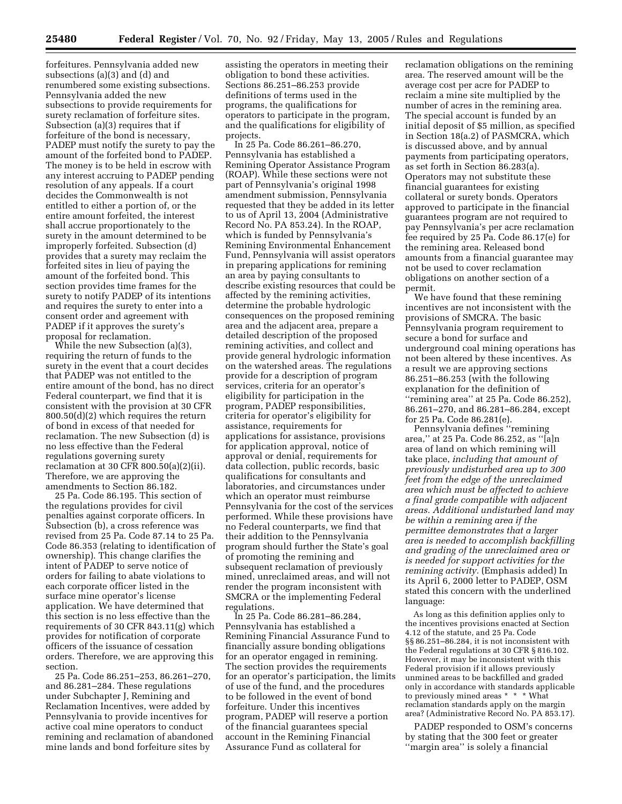forfeitures. Pennsylvania added new subsections (a)(3) and (d) and renumbered some existing subsections. Pennsylvania added the new subsections to provide requirements for surety reclamation of forfeiture sites. Subsection (a)(3) requires that if forfeiture of the bond is necessary, PADEP must notify the surety to pay the amount of the forfeited bond to PADEP. The money is to be held in escrow with any interest accruing to PADEP pending resolution of any appeals. If a court decides the Commonwealth is not entitled to either a portion of, or the entire amount forfeited, the interest shall accrue proportionately to the surety in the amount determined to be improperly forfeited. Subsection (d) provides that a surety may reclaim the forfeited sites in lieu of paying the amount of the forfeited bond. This section provides time frames for the surety to notify PADEP of its intentions and requires the surety to enter into a consent order and agreement with PADEP if it approves the surety's proposal for reclamation.

While the new Subsection (a)(3), requiring the return of funds to the surety in the event that a court decides that PADEP was not entitled to the entire amount of the bond, has no direct Federal counterpart, we find that it is consistent with the provision at 30 CFR 800.50(d)(2) which requires the return of bond in excess of that needed for reclamation. The new Subsection (d) is no less effective than the Federal regulations governing surety reclamation at 30 CFR 800.50(a)(2)(ii). Therefore, we are approving the amendments to Section 86.182.

25 Pa. Code 86.195. This section of the regulations provides for civil penalties against corporate officers. In Subsection (b), a cross reference was revised from 25 Pa. Code 87.14 to 25 Pa. Code 86.353 (relating to identification of ownership). This change clarifies the intent of PADEP to serve notice of orders for failing to abate violations to each corporate officer listed in the surface mine operator's license application. We have determined that this section is no less effective than the requirements of 30 CFR 843.11(g) which provides for notification of corporate officers of the issuance of cessation orders. Therefore, we are approving this section.

25 Pa. Code 86.251–253, 86.261–270, and 86.281–284. These regulations under Subchapter J, Remining and Reclamation Incentives, were added by Pennsylvania to provide incentives for active coal mine operators to conduct remining and reclamation of abandoned mine lands and bond forfeiture sites by

assisting the operators in meeting their obligation to bond these activities. Sections 86.251–86.253 provide definitions of terms used in the programs, the qualifications for operators to participate in the program, and the qualifications for eligibility of projects.

In 25 Pa. Code 86.261–86.270, Pennsylvania has established a Remining Operator Assistance Program (ROAP). While these sections were not part of Pennsylvania's original 1998 amendment submission, Pennsylvania requested that they be added in its letter to us of April 13, 2004 (Administrative Record No. PA 853.24). In the ROAP, which is funded by Pennsylvania's Remining Environmental Enhancement Fund, Pennsylvania will assist operators in preparing applications for remining an area by paying consultants to describe existing resources that could be affected by the remining activities, determine the probable hydrologic consequences on the proposed remining area and the adjacent area, prepare a detailed description of the proposed remining activities, and collect and provide general hydrologic information on the watershed areas. The regulations provide for a description of program services, criteria for an operator's eligibility for participation in the program, PADEP responsibilities, criteria for operator's eligibility for assistance, requirements for applications for assistance, provisions for application approval, notice of approval or denial, requirements for data collection, public records, basic qualifications for consultants and laboratories, and circumstances under which an operator must reimburse Pennsylvania for the cost of the services performed. While these provisions have no Federal counterparts, we find that their addition to the Pennsylvania program should further the State's goal of promoting the remining and subsequent reclamation of previously mined, unreclaimed areas, and will not render the program inconsistent with SMCRA or the implementing Federal regulations.

In 25 Pa. Code 86.281–86.284, Pennsylvania has established a Remining Financial Assurance Fund to financially assure bonding obligations for an operator engaged in remining. The section provides the requirements for an operator's participation, the limits of use of the fund, and the procedures to be followed in the event of bond forfeiture. Under this incentives program, PADEP will reserve a portion of the financial guarantees special account in the Remining Financial Assurance Fund as collateral for

reclamation obligations on the remining area. The reserved amount will be the average cost per acre for PADEP to reclaim a mine site multiplied by the number of acres in the remining area. The special account is funded by an initial deposit of \$5 million, as specified in Section 18(a.2) of PASMCRA, which is discussed above, and by annual payments from participating operators, as set forth in Section 86.283(a). Operators may not substitute these financial guarantees for existing collateral or surety bonds. Operators approved to participate in the financial guarantees program are not required to pay Pennsylvania's per acre reclamation fee required by 25 Pa. Code 86.17(e) for the remining area. Released bond amounts from a financial guarantee may not be used to cover reclamation obligations on another section of a permit.

We have found that these remining incentives are not inconsistent with the provisions of SMCRA. The basic Pennsylvania program requirement to secure a bond for surface and underground coal mining operations has not been altered by these incentives. As a result we are approving sections 86.251–86.253 (with the following explanation for the definition of ''remining area'' at 25 Pa. Code 86.252), 86.261–270, and 86.281–86.284, except for 25 Pa. Code 86.281(e).

Pennsylvania defines ''remining area,'' at 25 Pa. Code 86.252, as ''[a]n area of land on which remining will take place, *including that amount of previously undisturbed area up to 300 feet from the edge of the unreclaimed area which must be affected to achieve a final grade compatible with adjacent areas. Additional undisturbed land may be within a remining area if the permittee demonstrates that a larger area is needed to accomplish backfilling and grading of the unreclaimed area or is needed for support activities for the remining activity.* (Emphasis added) In its April 6, 2000 letter to PADEP, OSM stated this concern with the underlined language:

As long as this definition applies only to the incentives provisions enacted at Section 4.12 of the statute, and 25 Pa. Code §§ 86.251–86.284, it is not inconsistent with the Federal regulations at 30 CFR § 816.102. However, it may be inconsistent with this Federal provision if it allows previously unmined areas to be backfilled and graded only in accordance with standards applicable to previously mined areas \* \* \* \* What reclamation standards apply on the margin area? (Administrative Record No. PA 853.17).

PADEP responded to OSM's concerns by stating that the 300 feet or greater ''margin area'' is solely a financial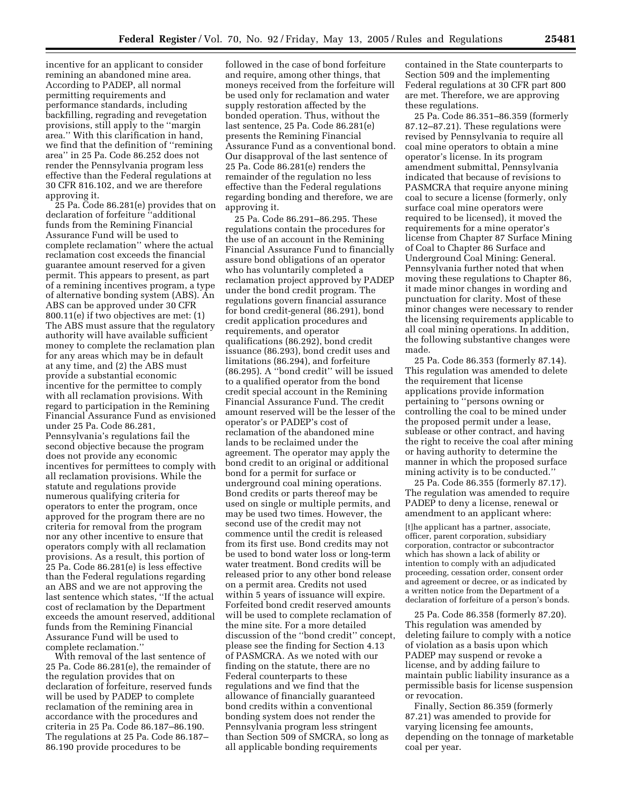incentive for an applicant to consider remining an abandoned mine area. According to PADEP, all normal permitting requirements and performance standards, including backfilling, regrading and revegetation provisions, still apply to the ''margin area.'' With this clarification in hand, we find that the definition of ''remining area'' in 25 Pa. Code 86.252 does not render the Pennsylvania program less effective than the Federal regulations at 30 CFR 816.102, and we are therefore approving it.

25 Pa. Code 86.281(e) provides that on declaration of forfeiture ''additional funds from the Remining Financial Assurance Fund will be used to complete reclamation'' where the actual reclamation cost exceeds the financial guarantee amount reserved for a given permit. This appears to present, as part of a remining incentives program, a type of alternative bonding system (ABS). An ABS can be approved under 30 CFR 800.11(e) if two objectives are met: (1) The ABS must assure that the regulatory authority will have available sufficient money to complete the reclamation plan for any areas which may be in default at any time, and (2) the ABS must provide a substantial economic incentive for the permittee to comply with all reclamation provisions. With regard to participation in the Remining Financial Assurance Fund as envisioned under 25 Pa. Code 86.281, Pennsylvania's regulations fail the second objective because the program does not provide any economic incentives for permittees to comply with all reclamation provisions. While the statute and regulations provide numerous qualifying criteria for operators to enter the program, once approved for the program there are no criteria for removal from the program nor any other incentive to ensure that operators comply with all reclamation provisions. As a result, this portion of 25 Pa. Code 86.281(e) is less effective than the Federal regulations regarding an ABS and we are not approving the last sentence which states, ''If the actual cost of reclamation by the Department exceeds the amount reserved, additional funds from the Remining Financial Assurance Fund will be used to complete reclamation.''

With removal of the last sentence of 25 Pa. Code 86.281(e), the remainder of the regulation provides that on declaration of forfeiture, reserved funds will be used by PADEP to complete reclamation of the remining area in accordance with the procedures and criteria in 25 Pa. Code 86.187–86.190. The regulations at 25 Pa. Code 86.187– 86.190 provide procedures to be

followed in the case of bond forfeiture and require, among other things, that moneys received from the forfeiture will be used only for reclamation and water supply restoration affected by the bonded operation. Thus, without the last sentence, 25 Pa. Code 86.281(e) presents the Remining Financial Assurance Fund as a conventional bond. Our disapproval of the last sentence of 25 Pa. Code 86.281(e) renders the remainder of the regulation no less effective than the Federal regulations regarding bonding and therefore, we are approving it.

25 Pa. Code 86.291–86.295. These regulations contain the procedures for the use of an account in the Remining Financial Assurance Fund to financially assure bond obligations of an operator who has voluntarily completed a reclamation project approved by PADEP under the bond credit program. The regulations govern financial assurance for bond credit-general (86.291), bond credit application procedures and requirements, and operator qualifications (86.292), bond credit issuance (86.293), bond credit uses and limitations (86.294), and forfeiture (86.295). A ''bond credit'' will be issued to a qualified operator from the bond credit special account in the Remining Financial Assurance Fund. The credit amount reserved will be the lesser of the operator's or PADEP's cost of reclamation of the abandoned mine lands to be reclaimed under the agreement. The operator may apply the bond credit to an original or additional bond for a permit for surface or underground coal mining operations. Bond credits or parts thereof may be used on single or multiple permits, and may be used two times. However, the second use of the credit may not commence until the credit is released from its first use. Bond credits may not be used to bond water loss or long-term water treatment. Bond credits will be released prior to any other bond release on a permit area. Credits not used within 5 years of issuance will expire. Forfeited bond credit reserved amounts will be used to complete reclamation of the mine site. For a more detailed discussion of the ''bond credit'' concept, please see the finding for Section 4.13 of PASMCRA. As we noted with our finding on the statute, there are no Federal counterparts to these regulations and we find that the allowance of financially guaranteed bond credits within a conventional bonding system does not render the Pennsylvania program less stringent than Section 509 of SMCRA, so long as all applicable bonding requirements

contained in the State counterparts to Section 509 and the implementing Federal regulations at 30 CFR part 800 are met. Therefore, we are approving these regulations.

25 Pa. Code 86.351–86.359 (formerly 87.12–87.21). These regulations were revised by Pennsylvania to require all coal mine operators to obtain a mine operator's license. In its program amendment submittal, Pennsylvania indicated that because of revisions to PASMCRA that require anyone mining coal to secure a license (formerly, only surface coal mine operators were required to be licensed), it moved the requirements for a mine operator's license from Chapter 87 Surface Mining of Coal to Chapter 86 Surface and Underground Coal Mining: General. Pennsylvania further noted that when moving these regulations to Chapter 86, it made minor changes in wording and punctuation for clarity. Most of these minor changes were necessary to render the licensing requirements applicable to all coal mining operations. In addition, the following substantive changes were made.

25 Pa. Code 86.353 (formerly 87.14). This regulation was amended to delete the requirement that license applications provide information pertaining to ''persons owning or controlling the coal to be mined under the proposed permit under a lease, sublease or other contract, and having the right to receive the coal after mining or having authority to determine the manner in which the proposed surface mining activity is to be conducted.''

25 Pa. Code 86.355 (formerly 87.17). The regulation was amended to require PADEP to deny a license, renewal or amendment to an applicant where:

[t]he applicant has a partner, associate, officer, parent corporation, subsidiary corporation, contractor or subcontractor which has shown a lack of ability or intention to comply with an adjudicated proceeding, cessation order, consent order and agreement or decree, or as indicated by a written notice from the Department of a declaration of forfeiture of a person's bonds.

25 Pa. Code 86.358 (formerly 87.20). This regulation was amended by deleting failure to comply with a notice of violation as a basis upon which PADEP may suspend or revoke a license, and by adding failure to maintain public liability insurance as a permissible basis for license suspension or revocation.

Finally, Section 86.359 (formerly 87.21) was amended to provide for varying licensing fee amounts, depending on the tonnage of marketable coal per year.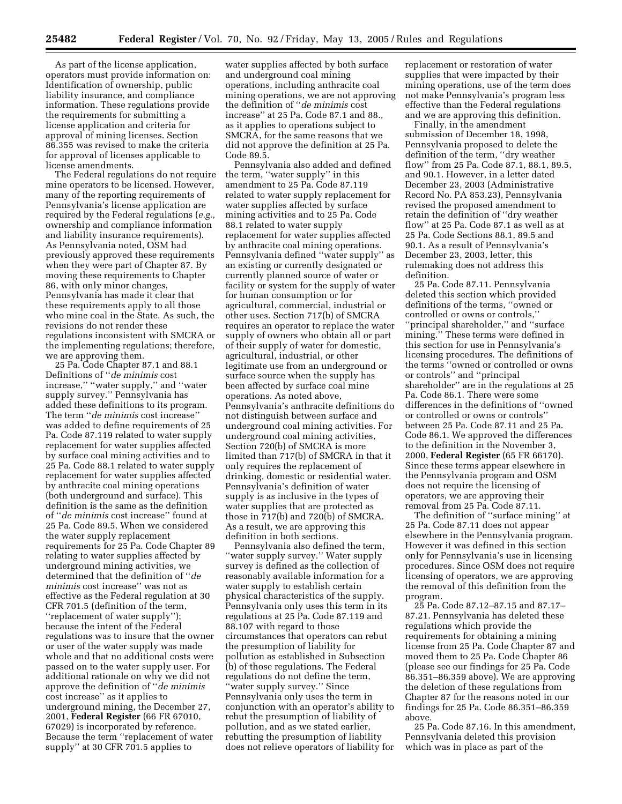As part of the license application, operators must provide information on: Identification of ownership, public liability insurance, and compliance information. These regulations provide the requirements for submitting a license application and criteria for approval of mining licenses. Section 86.355 was revised to make the criteria for approval of licenses applicable to license amendments.

The Federal regulations do not require mine operators to be licensed. However, many of the reporting requirements of Pennsylvania's license application are required by the Federal regulations (*e.g.,* ownership and compliance information and liability insurance requirements). As Pennsylvania noted, OSM had previously approved these requirements when they were part of Chapter 87. By moving these requirements to Chapter 86, with only minor changes, Pennsylvania has made it clear that these requirements apply to all those who mine coal in the State. As such, the revisions do not render these regulations inconsistent with SMCRA or the implementing regulations; therefore, we are approving them.

25 Pa. Code Chapter 87.1 and 88.1 Definitions of ''*de minimis* cost increase,'' ''water supply,'' and ''water supply survey.'' Pennsylvania has added these definitions to its program. The term ''*de minimis* cost increase'' was added to define requirements of 25 Pa. Code 87.119 related to water supply replacement for water supplies affected by surface coal mining activities and to 25 Pa. Code 88.1 related to water supply replacement for water supplies affected by anthracite coal mining operations (both underground and surface). This definition is the same as the definition of ''*de minimis* cost increase'' found at 25 Pa. Code 89.5. When we considered the water supply replacement requirements for 25 Pa. Code Chapter 89 relating to water supplies affected by underground mining activities, we determined that the definition of ''*de minimis* cost increase'' was not as effective as the Federal regulation at 30 CFR 701.5 (definition of the term, ''replacement of water supply''); because the intent of the Federal regulations was to insure that the owner or user of the water supply was made whole and that no additional costs were passed on to the water supply user. For additional rationale on why we did not approve the definition of ''*de minimis* cost increase'' as it applies to underground mining, the December 27, 2001, **Federal Register** (66 FR 67010, 67029) is incorporated by reference. Because the term ''replacement of water supply'' at 30 CFR 701.5 applies to

water supplies affected by both surface and underground coal mining operations, including anthracite coal mining operations, we are not approving the definition of ''*de minimis* cost increase'' at 25 Pa. Code 87.1 and 88., as it applies to operations subject to SMCRA, for the same reasons that we did not approve the definition at 25 Pa. Code 89.5.

Pennsylvania also added and defined the term, ''water supply'' in this amendment to 25 Pa. Code 87.119 related to water supply replacement for water supplies affected by surface mining activities and to 25 Pa. Code 88.1 related to water supply replacement for water supplies affected by anthracite coal mining operations. Pennsylvania defined ''water supply'' as an existing or currently designated or currently planned source of water or facility or system for the supply of water for human consumption or for agricultural, commercial, industrial or other uses. Section 717(b) of SMCRA requires an operator to replace the water supply of owners who obtain all or part of their supply of water for domestic, agricultural, industrial, or other legitimate use from an underground or surface source when the supply has been affected by surface coal mine operations. As noted above, Pennsylvania's anthracite definitions do not distinguish between surface and underground coal mining activities. For underground coal mining activities, Section 720(b) of SMCRA is more limited than 717(b) of SMCRA in that it only requires the replacement of drinking, domestic or residential water. Pennsylvania's definition of water supply is as inclusive in the types of water supplies that are protected as those in 717(b) and 720(b) of SMCRA. As a result, we are approving this definition in both sections.

Pennsylvania also defined the term, ''water supply survey.'' Water supply survey is defined as the collection of reasonably available information for a water supply to establish certain physical characteristics of the supply. Pennsylvania only uses this term in its regulations at 25 Pa. Code 87.119 and 88.107 with regard to those circumstances that operators can rebut the presumption of liability for pollution as established in Subsection (b) of those regulations. The Federal regulations do not define the term, ''water supply survey.'' Since Pennsylvania only uses the term in conjunction with an operator's ability to rebut the presumption of liability of pollution, and as we stated earlier, rebutting the presumption of liability does not relieve operators of liability for

replacement or restoration of water supplies that were impacted by their mining operations, use of the term does not make Pennsylvania's program less effective than the Federal regulations and we are approving this definition.

Finally, in the amendment submission of December 18, 1998, Pennsylvania proposed to delete the definition of the term, ''dry weather flow'' from 25 Pa. Code 87.1, 88.1, 89.5, and 90.1. However, in a letter dated December 23, 2003 (Administrative Record No. PA 853.23), Pennsylvania revised the proposed amendment to retain the definition of ''dry weather flow'' at 25 Pa. Code 87.1 as well as at 25 Pa. Code Sections 88.1, 89.5 and 90.1. As a result of Pennsylvania's December 23, 2003, letter, this rulemaking does not address this definition.

25 Pa. Code 87.11. Pennsylvania deleted this section which provided definitions of the terms, ''owned or controlled or owns or controls,'' ''principal shareholder,'' and ''surface mining.'' These terms were defined in this section for use in Pennsylvania's licensing procedures. The definitions of the terms ''owned or controlled or owns or controls'' and ''principal shareholder'' are in the regulations at 25 Pa. Code 86.1. There were some differences in the definitions of ''owned or controlled or owns or controls'' between 25 Pa. Code 87.11 and 25 Pa. Code 86.1. We approved the differences to the definition in the November 3, 2000, **Federal Register** (65 FR 66170). Since these terms appear elsewhere in the Pennsylvania program and OSM does not require the licensing of operators, we are approving their removal from 25 Pa. Code 87.11.

The definition of ''surface mining'' at 25 Pa. Code 87.11 does not appear elsewhere in the Pennsylvania program. However it was defined in this section only for Pennsylvania's use in licensing procedures. Since OSM does not require licensing of operators, we are approving the removal of this definition from the program.

25 Pa. Code 87.12–87.15 and 87.17– 87.21. Pennsylvania has deleted these regulations which provide the requirements for obtaining a mining license from 25 Pa. Code Chapter 87 and moved them to 25 Pa. Code Chapter 86 (please see our findings for 25 Pa. Code 86.351–86.359 above). We are approving the deletion of these regulations from Chapter 87 for the reasons noted in our findings for 25 Pa. Code 86.351–86.359 above.

25 Pa. Code 87.16. In this amendment, Pennsylvania deleted this provision which was in place as part of the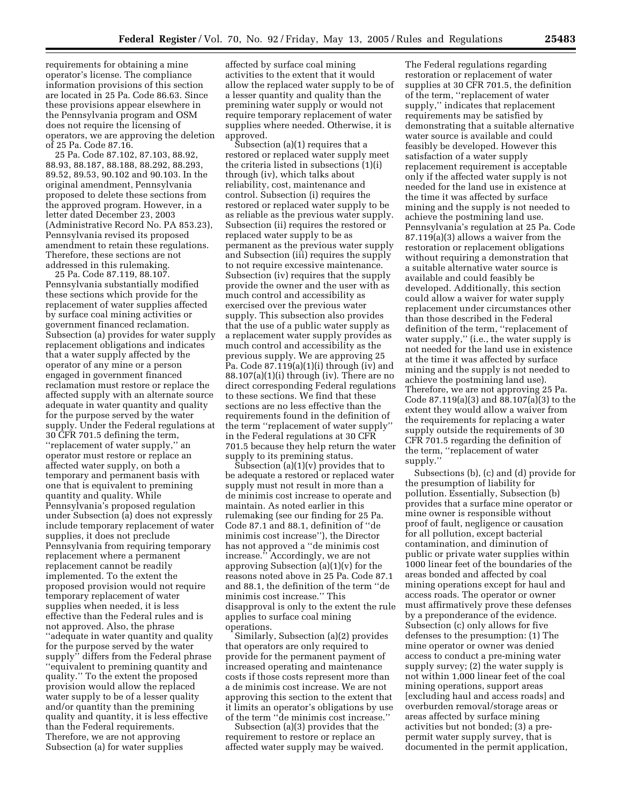requirements for obtaining a mine operator's license. The compliance information provisions of this section are located in 25 Pa. Code 86.63. Since these provisions appear elsewhere in the Pennsylvania program and OSM does not require the licensing of operators, we are approving the deletion of 25 Pa. Code 87.16.

25 Pa. Code 87.102, 87.103, 88.92, 88.93, 88.187, 88.188, 88.292, 88.293, 89.52, 89.53, 90.102 and 90.103. In the original amendment, Pennsylvania proposed to delete these sections from the approved program. However, in a letter dated December 23, 2003 (Administrative Record No. PA 853.23), Pennsylvania revised its proposed amendment to retain these regulations. Therefore, these sections are not addressed in this rulemaking.

25 Pa. Code 87.119, 88.107. Pennsylvania substantially modified these sections which provide for the replacement of water supplies affected by surface coal mining activities or government financed reclamation. Subsection (a) provides for water supply replacement obligations and indicates that a water supply affected by the operator of any mine or a person engaged in government financed reclamation must restore or replace the affected supply with an alternate source adequate in water quantity and quality for the purpose served by the water supply. Under the Federal regulations at 30 CFR 701.5 defining the term, ''replacement of water supply,'' an operator must restore or replace an affected water supply, on both a temporary and permanent basis with one that is equivalent to premining quantity and quality. While Pennsylvania's proposed regulation under Subsection (a) does not expressly include temporary replacement of water supplies, it does not preclude Pennsylvania from requiring temporary replacement where a permanent replacement cannot be readily implemented. To the extent the proposed provision would not require temporary replacement of water supplies when needed, it is less effective than the Federal rules and is not approved. Also, the phrase ''adequate in water quantity and quality for the purpose served by the water supply'' differs from the Federal phrase ''equivalent to premining quantity and quality.'' To the extent the proposed provision would allow the replaced water supply to be of a lesser quality and/or quantity than the premining quality and quantity, it is less effective than the Federal requirements. Therefore, we are not approving Subsection (a) for water supplies

affected by surface coal mining activities to the extent that it would allow the replaced water supply to be of a lesser quantity and quality than the premining water supply or would not require temporary replacement of water supplies where needed. Otherwise, it is approved.

Subsection (a)(1) requires that a restored or replaced water supply meet the criteria listed in subsections (1)(i) through (iv), which talks about reliability, cost, maintenance and control. Subsection (i) requires the restored or replaced water supply to be as reliable as the previous water supply. Subsection (ii) requires the restored or replaced water supply to be as permanent as the previous water supply and Subsection (iii) requires the supply to not require excessive maintenance. Subsection (iv) requires that the supply provide the owner and the user with as much control and accessibility as exercised over the previous water supply. This subsection also provides that the use of a public water supply as a replacement water supply provides as much control and accessibility as the previous supply. We are approving 25 Pa. Code 87.119(a)(1)(i) through (iv) and 88.107(a)(1)(i) through (iv). There are no direct corresponding Federal regulations to these sections. We find that these sections are no less effective than the requirements found in the definition of the term ''replacement of water supply'' in the Federal regulations at 30 CFR 701.5 because they help return the water supply to its premining status.

Subsection  $(a)(1)(v)$  provides that to be adequate a restored or replaced water supply must not result in more than a de minimis cost increase to operate and maintain. As noted earlier in this rulemaking (see our finding for 25 Pa. Code 87.1 and 88.1, definition of ''de minimis cost increase''), the Director has not approved a ''de minimis cost increase.'' Accordingly, we are not approving Subsection  $(a)(1)(v)$  for the reasons noted above in 25 Pa. Code 87.1 and 88.1, the definition of the term ''de minimis cost increase.'' This disapproval is only to the extent the rule applies to surface coal mining operations.

Similarly, Subsection (a)(2) provides that operators are only required to provide for the permanent payment of increased operating and maintenance costs if those costs represent more than a de minimis cost increase. We are not approving this section to the extent that it limits an operator's obligations by use of the term ''de minimis cost increase.''

Subsection (a)(3) provides that the requirement to restore or replace an affected water supply may be waived.

The Federal regulations regarding restoration or replacement of water supplies at 30 CFR 701.5, the definition of the term, ''replacement of water supply,'' indicates that replacement requirements may be satisfied by demonstrating that a suitable alternative water source is available and could feasibly be developed. However this satisfaction of a water supply replacement requirement is acceptable only if the affected water supply is not needed for the land use in existence at the time it was affected by surface mining and the supply is not needed to achieve the postmining land use. Pennsylvania's regulation at 25 Pa. Code 87.119(a)(3) allows a waiver from the restoration or replacement obligations without requiring a demonstration that a suitable alternative water source is available and could feasibly be developed. Additionally, this section could allow a waiver for water supply replacement under circumstances other than those described in the Federal definition of the term, ''replacement of water supply,'' (i.e., the water supply is not needed for the land use in existence at the time it was affected by surface mining and the supply is not needed to achieve the postmining land use). Therefore, we are not approving 25 Pa. Code 87.119(a)(3) and 88.107(a)(3) to the extent they would allow a waiver from the requirements for replacing a water supply outside the requirements of 30 CFR 701.5 regarding the definition of the term, ''replacement of water supply.'

Subsections (b), (c) and (d) provide for the presumption of liability for pollution. Essentially, Subsection (b) provides that a surface mine operator or mine owner is responsible without proof of fault, negligence or causation for all pollution, except bacterial contamination, and diminution of public or private water supplies within 1000 linear feet of the boundaries of the areas bonded and affected by coal mining operations except for haul and access roads. The operator or owner must affirmatively prove these defenses by a preponderance of the evidence. Subsection (c) only allows for five defenses to the presumption: (1) The mine operator or owner was denied access to conduct a pre-mining water supply survey; (2) the water supply is not within 1,000 linear feet of the coal mining operations, support areas [excluding haul and access roads] and overburden removal/storage areas or areas affected by surface mining activities but not bonded; (3) a prepermit water supply survey, that is documented in the permit application,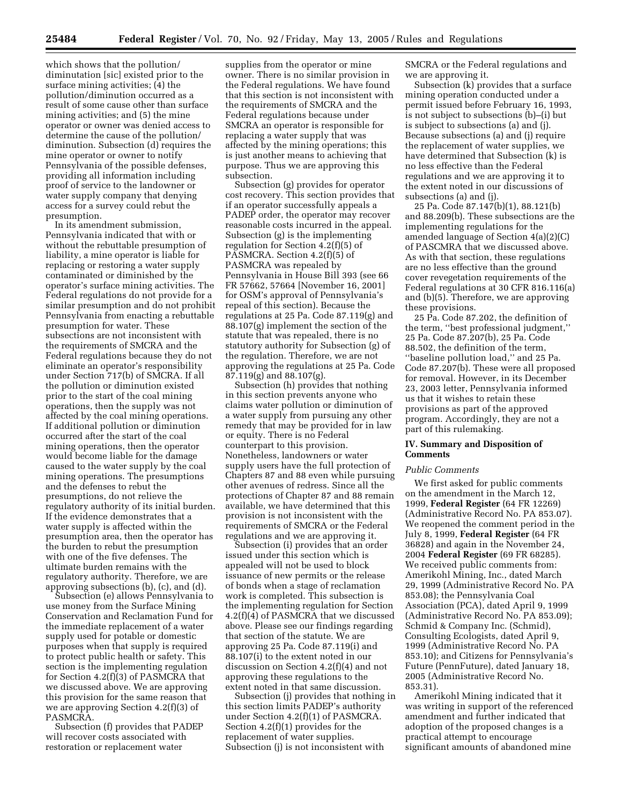which shows that the pollution/ diminutation [sic] existed prior to the surface mining activities; (4) the pollution/diminution occurred as a result of some cause other than surface mining activities; and (5) the mine operator or owner was denied access to determine the cause of the pollution/ diminution. Subsection (d) requires the mine operator or owner to notify Pennsylvania of the possible defenses, providing all information including proof of service to the landowner or water supply company that denying access for a survey could rebut the presumption.

In its amendment submission, Pennsylvania indicated that with or without the rebuttable presumption of liability, a mine operator is liable for replacing or restoring a water supply contaminated or diminished by the operator's surface mining activities. The Federal regulations do not provide for a similar presumption and do not prohibit Pennsylvania from enacting a rebuttable presumption for water. These subsections are not inconsistent with the requirements of SMCRA and the Federal regulations because they do not eliminate an operator's responsibility under Section 717(b) of SMCRA. If all the pollution or diminution existed prior to the start of the coal mining operations, then the supply was not affected by the coal mining operations. If additional pollution or diminution occurred after the start of the coal mining operations, then the operator would become liable for the damage caused to the water supply by the coal mining operations. The presumptions and the defenses to rebut the presumptions, do not relieve the regulatory authority of its initial burden. If the evidence demonstrates that a water supply is affected within the presumption area, then the operator has the burden to rebut the presumption with one of the five defenses. The ultimate burden remains with the regulatory authority. Therefore, we are approving subsections (b), (c), and (d).

Subsection (e) allows Pennsylvania to use money from the Surface Mining Conservation and Reclamation Fund for the immediate replacement of a water supply used for potable or domestic purposes when that supply is required to protect public health or safety. This section is the implementing regulation for Section 4.2(f)(3) of PASMCRA that we discussed above. We are approving this provision for the same reason that we are approving Section 4.2(f)(3) of PASMCRA.

Subsection (f) provides that PADEP will recover costs associated with restoration or replacement water

supplies from the operator or mine owner. There is no similar provision in the Federal regulations. We have found that this section is not inconsistent with the requirements of SMCRA and the Federal regulations because under SMCRA an operator is responsible for replacing a water supply that was affected by the mining operations; this is just another means to achieving that purpose. Thus we are approving this subsection.

Subsection (g) provides for operator cost recovery. This section provides that if an operator successfully appeals a PADEP order, the operator may recover reasonable costs incurred in the appeal. Subsection (g) is the implementing regulation for Section 4.2(f)(5) of PASMCRA. Section 4.2(f)(5) of PASMCRA was repealed by Pennsylvania in House Bill 393 (see 66 FR 57662, 57664 [November 16, 2001] for OSM's approval of Pennsylvania's repeal of this section). Because the regulations at 25 Pa. Code 87.119(g) and 88.107(g) implement the section of the statute that was repealed, there is no statutory authority for Subsection (g) of the regulation. Therefore, we are not approving the regulations at 25 Pa. Code 87.119(g) and 88.107(g).

Subsection (h) provides that nothing in this section prevents anyone who claims water pollution or diminution of a water supply from pursuing any other remedy that may be provided for in law or equity. There is no Federal counterpart to this provision. Nonetheless, landowners or water supply users have the full protection of Chapters 87 and 88 even while pursuing other avenues of redress. Since all the protections of Chapter 87 and 88 remain available, we have determined that this provision is not inconsistent with the requirements of SMCRA or the Federal regulations and we are approving it.

Subsection (i) provides that an order issued under this section which is appealed will not be used to block issuance of new permits or the release of bonds when a stage of reclamation work is completed. This subsection is the implementing regulation for Section 4.2(f)(4) of PASMCRA that we discussed above. Please see our findings regarding that section of the statute. We are approving 25 Pa. Code 87.119(i) and 88.107(i) to the extent noted in our discussion on Section 4.2(f)(4) and not approving these regulations to the extent noted in that same discussion.

Subsection (j) provides that nothing in this section limits PADEP's authority under Section 4.2(f)(1) of PASMCRA. Section 4.2(f)(1) provides for the replacement of water supplies. Subsection (j) is not inconsistent with

SMCRA or the Federal regulations and we are approving it.

Subsection (k) provides that a surface mining operation conducted under a permit issued before February 16, 1993, is not subject to subsections (b)–(i) but is subject to subsections (a) and (j). Because subsections (a) and (j) require the replacement of water supplies, we have determined that Subsection (k) is no less effective than the Federal regulations and we are approving it to the extent noted in our discussions of subsections (a) and (j).

25 Pa. Code 87.147(b)(1), 88.121(b) and 88.209(b). These subsections are the implementing regulations for the amended language of Section 4(a)(2)(C) of PASCMRA that we discussed above. As with that section, these regulations are no less effective than the ground cover revegetation requirements of the Federal regulations at 30 CFR 816.116(a) and (b)(5). Therefore, we are approving these provisions.

25 Pa. Code 87.202, the definition of the term, ''best professional judgment,'' 25 Pa. Code 87.207(b), 25 Pa. Code 88.502, the definition of the term, ''baseline pollution load,'' and 25 Pa. Code 87.207(b). These were all proposed for removal. However, in its December 23, 2003 letter, Pennsylvania informed us that it wishes to retain these provisions as part of the approved program. Accordingly, they are not a part of this rulemaking.

### **IV. Summary and Disposition of Comments**

#### *Public Comments*

We first asked for public comments on the amendment in the March 12, 1999, **Federal Register** (64 FR 12269) (Administrative Record No. PA 853.07). We reopened the comment period in the July 8, 1999, **Federal Register** (64 FR 36828) and again in the November 24, 2004 **Federal Register** (69 FR 68285). We received public comments from: Amerikohl Mining, Inc., dated March 29, 1999 (Administrative Record No. PA 853.08); the Pennsylvania Coal Association (PCA), dated April 9, 1999 (Administrative Record No. PA 853.09); Schmid & Company Inc. (Schmid), Consulting Ecologists, dated April 9, 1999 (Administrative Record No. PA 853.10); and Citizens for Pennsylvania's Future (PennFuture), dated January 18, 2005 (Administrative Record No. 853.31).

Amerikohl Mining indicated that it was writing in support of the referenced amendment and further indicated that adoption of the proposed changes is a practical attempt to encourage significant amounts of abandoned mine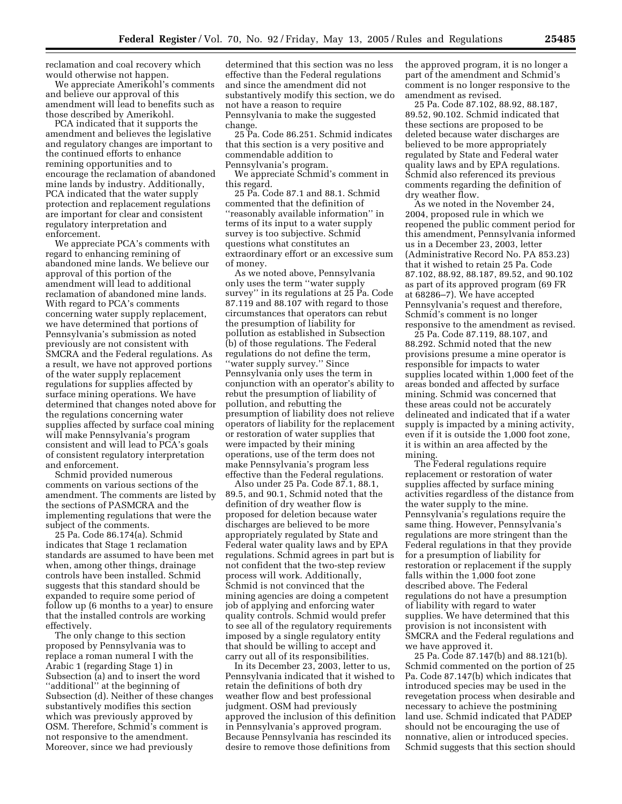reclamation and coal recovery which would otherwise not happen.

We appreciate Amerikohl's comments and believe our approval of this amendment will lead to benefits such as those described by Amerikohl.

PCA indicated that it supports the amendment and believes the legislative and regulatory changes are important to the continued efforts to enhance remining opportunities and to encourage the reclamation of abandoned mine lands by industry. Additionally, PCA indicated that the water supply protection and replacement regulations are important for clear and consistent regulatory interpretation and enforcement.

We appreciate PCA's comments with regard to enhancing remining of abandoned mine lands. We believe our approval of this portion of the amendment will lead to additional reclamation of abandoned mine lands. With regard to PCA's comments concerning water supply replacement, we have determined that portions of Pennsylvania's submission as noted previously are not consistent with SMCRA and the Federal regulations. As a result, we have not approved portions of the water supply replacement regulations for supplies affected by surface mining operations. We have determined that changes noted above for the regulations concerning water supplies affected by surface coal mining will make Pennsylvania's program consistent and will lead to PCA's goals of consistent regulatory interpretation and enforcement.

Schmid provided numerous comments on various sections of the amendment. The comments are listed by the sections of PASMCRA and the implementing regulations that were the subject of the comments.

25 Pa. Code 86.174(a). Schmid indicates that Stage 1 reclamation standards are assumed to have been met when, among other things, drainage controls have been installed. Schmid suggests that this standard should be expanded to require some period of follow up (6 months to a year) to ensure that the installed controls are working effectively.

The only change to this section proposed by Pennsylvania was to replace a roman numeral I with the Arabic 1 (regarding Stage 1) in Subsection (a) and to insert the word ''additional'' at the beginning of Subsection (d). Neither of these changes substantively modifies this section which was previously approved by OSM. Therefore, Schmid's comment is not responsive to the amendment. Moreover, since we had previously

determined that this section was no less effective than the Federal regulations and since the amendment did not substantively modify this section, we do not have a reason to require Pennsylvania to make the suggested change.

25 Pa. Code 86.251. Schmid indicates that this section is a very positive and commendable addition to Pennsylvania's program.

We appreciate Schmid's comment in this regard.

25 Pa. Code 87.1 and 88.1. Schmid commented that the definition of ''reasonably available information'' in terms of its input to a water supply survey is too subjective. Schmid questions what constitutes an extraordinary effort or an excessive sum of money.

As we noted above, Pennsylvania only uses the term ''water supply survey'' in its regulations at 25 Pa. Code 87.119 and 88.107 with regard to those circumstances that operators can rebut the presumption of liability for pollution as established in Subsection (b) of those regulations. The Federal regulations do not define the term, ''water supply survey.'' Since Pennsylvania only uses the term in conjunction with an operator's ability to rebut the presumption of liability of pollution, and rebutting the presumption of liability does not relieve operators of liability for the replacement or restoration of water supplies that were impacted by their mining operations, use of the term does not make Pennsylvania's program less effective than the Federal regulations.

Also under 25 Pa. Code 87.1, 88.1, 89.5, and 90.1, Schmid noted that the definition of dry weather flow is proposed for deletion because water discharges are believed to be more appropriately regulated by State and Federal water quality laws and by EPA regulations. Schmid agrees in part but is not confident that the two-step review process will work. Additionally, Schmid is not convinced that the mining agencies are doing a competent job of applying and enforcing water quality controls. Schmid would prefer to see all of the regulatory requirements imposed by a single regulatory entity that should be willing to accept and carry out all of its responsibilities.

In its December 23, 2003, letter to us, Pennsylvania indicated that it wished to retain the definitions of both dry weather flow and best professional judgment. OSM had previously approved the inclusion of this definition in Pennsylvania's approved program. Because Pennsylvania has rescinded its desire to remove those definitions from

the approved program, it is no longer a part of the amendment and Schmid's comment is no longer responsive to the amendment as revised.

25 Pa. Code 87.102, 88.92, 88.187, 89.52, 90.102. Schmid indicated that these sections are proposed to be deleted because water discharges are believed to be more appropriately regulated by State and Federal water quality laws and by EPA regulations. Schmid also referenced its previous comments regarding the definition of dry weather flow.

As we noted in the November 24, 2004, proposed rule in which we reopened the public comment period for this amendment, Pennsylvania informed us in a December 23, 2003, letter (Administrative Record No. PA 853.23) that it wished to retain 25 Pa. Code 87.102, 88.92, 88.187, 89.52, and 90.102 as part of its approved program (69 FR at 68286–7). We have accepted Pennsylvania's request and therefore, Schmid's comment is no longer responsive to the amendment as revised.

25 Pa. Code 87.119, 88.107, and 88.292. Schmid noted that the new provisions presume a mine operator is responsible for impacts to water supplies located within 1,000 feet of the areas bonded and affected by surface mining. Schmid was concerned that these areas could not be accurately delineated and indicated that if a water supply is impacted by a mining activity, even if it is outside the 1,000 foot zone, it is within an area affected by the mining.

The Federal regulations require replacement or restoration of water supplies affected by surface mining activities regardless of the distance from the water supply to the mine. Pennsylvania's regulations require the same thing. However, Pennsylvania's regulations are more stringent than the Federal regulations in that they provide for a presumption of liability for restoration or replacement if the supply falls within the 1,000 foot zone described above. The Federal regulations do not have a presumption of liability with regard to water supplies. We have determined that this provision is not inconsistent with SMCRA and the Federal regulations and we have approved it.

25 Pa. Code 87.147(b) and 88.121(b). Schmid commented on the portion of 25 Pa. Code 87.147(b) which indicates that introduced species may be used in the revegetation process when desirable and necessary to achieve the postmining land use. Schmid indicated that PADEP should not be encouraging the use of nonnative, alien or introduced species. Schmid suggests that this section should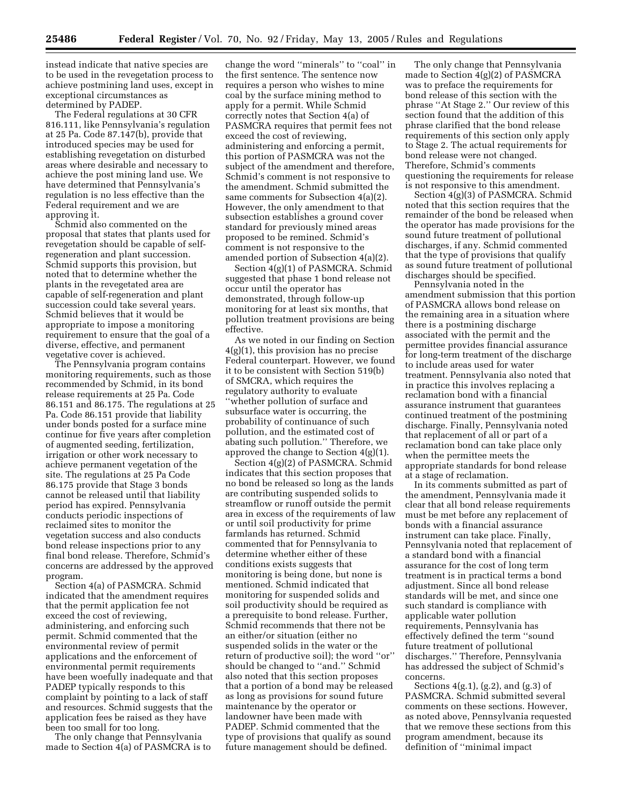instead indicate that native species are to be used in the revegetation process to achieve postmining land uses, except in exceptional circumstances as determined by PADEP.

The Federal regulations at 30 CFR 816.111, like Pennsylvania's regulation at 25 Pa. Code 87.147(b), provide that introduced species may be used for establishing revegetation on disturbed areas where desirable and necessary to achieve the post mining land use. We have determined that Pennsylvania's regulation is no less effective than the Federal requirement and we are approving it.

Schmid also commented on the proposal that states that plants used for revegetation should be capable of selfregeneration and plant succession. Schmid supports this provision, but noted that to determine whether the plants in the revegetated area are capable of self-regeneration and plant succession could take several years. Schmid believes that it would be appropriate to impose a monitoring requirement to ensure that the goal of a diverse, effective, and permanent vegetative cover is achieved.

The Pennsylvania program contains monitoring requirements, such as those recommended by Schmid, in its bond release requirements at 25 Pa. Code 86.151 and 86.175. The regulations at 25 Pa. Code 86.151 provide that liability under bonds posted for a surface mine continue for five years after completion of augmented seeding, fertilization, irrigation or other work necessary to achieve permanent vegetation of the site. The regulations at 25 Pa Code 86.175 provide that Stage 3 bonds cannot be released until that liability period has expired. Pennsylvania conducts periodic inspections of reclaimed sites to monitor the vegetation success and also conducts bond release inspections prior to any final bond release. Therefore, Schmid's concerns are addressed by the approved program.

Section 4(a) of PASMCRA. Schmid indicated that the amendment requires that the permit application fee not exceed the cost of reviewing, administering, and enforcing such permit. Schmid commented that the environmental review of permit applications and the enforcement of environmental permit requirements have been woefully inadequate and that PADEP typically responds to this complaint by pointing to a lack of staff and resources. Schmid suggests that the application fees be raised as they have been too small for too long.

The only change that Pennsylvania made to Section 4(a) of PASMCRA is to

change the word ''minerals'' to ''coal'' in the first sentence. The sentence now requires a person who wishes to mine coal by the surface mining method to apply for a permit. While Schmid correctly notes that Section 4(a) of PASMCRA requires that permit fees not exceed the cost of reviewing, administering and enforcing a permit, this portion of PASMCRA was not the subject of the amendment and therefore, Schmid's comment is not responsive to the amendment. Schmid submitted the same comments for Subsection 4(a)(2). However, the only amendment to that subsection establishes a ground cover standard for previously mined areas proposed to be remined. Schmid's comment is not responsive to the amended portion of Subsection 4(a)(2).

Section 4(g)(1) of PASMCRA. Schmid suggested that phase 1 bond release not occur until the operator has demonstrated, through follow-up monitoring for at least six months, that pollution treatment provisions are being effective.

As we noted in our finding on Section 4(g)(1), this provision has no precise Federal counterpart. However, we found it to be consistent with Section 519(b) of SMCRA, which requires the regulatory authority to evaluate ''whether pollution of surface and subsurface water is occurring, the probability of continuance of such pollution, and the estimated cost of abating such pollution.'' Therefore, we approved the change to Section 4(g)(1).

Section 4(g)(2) of PASMCRA. Schmid indicates that this section proposes that no bond be released so long as the lands are contributing suspended solids to streamflow or runoff outside the permit area in excess of the requirements of law or until soil productivity for prime farmlands has returned. Schmid commented that for Pennsylvania to determine whether either of these conditions exists suggests that monitoring is being done, but none is mentioned. Schmid indicated that monitoring for suspended solids and soil productivity should be required as a prerequisite to bond release. Further, Schmid recommends that there not be an either/or situation (either no suspended solids in the water or the return of productive soil); the word ''or'' should be changed to ''and.'' Schmid also noted that this section proposes that a portion of a bond may be released as long as provisions for sound future maintenance by the operator or landowner have been made with PADEP. Schmid commented that the type of provisions that qualify as sound future management should be defined.

The only change that Pennsylvania made to Section 4(g)(2) of PASMCRA was to preface the requirements for bond release of this section with the phrase ''At Stage 2.'' Our review of this section found that the addition of this phrase clarified that the bond release requirements of this section only apply to Stage 2. The actual requirements for bond release were not changed. Therefore, Schmid's comments questioning the requirements for release is not responsive to this amendment.

Section 4(g)(3) of PASMCRA. Schmid noted that this section requires that the remainder of the bond be released when the operator has made provisions for the sound future treatment of pollutional discharges, if any. Schmid commented that the type of provisions that qualify as sound future treatment of pollutional discharges should be specified.

Pennsylvania noted in the amendment submission that this portion of PASMCRA allows bond release on the remaining area in a situation where there is a postmining discharge associated with the permit and the permittee provides financial assurance for long-term treatment of the discharge to include areas used for water treatment. Pennsylvania also noted that in practice this involves replacing a reclamation bond with a financial assurance instrument that guarantees continued treatment of the postmining discharge. Finally, Pennsylvania noted that replacement of all or part of a reclamation bond can take place only when the permittee meets the appropriate standards for bond release at a stage of reclamation.

In its comments submitted as part of the amendment, Pennsylvania made it clear that all bond release requirements must be met before any replacement of bonds with a financial assurance instrument can take place. Finally, Pennsylvania noted that replacement of a standard bond with a financial assurance for the cost of long term treatment is in practical terms a bond adjustment. Since all bond release standards will be met, and since one such standard is compliance with applicable water pollution requirements, Pennsylvania has effectively defined the term ''sound future treatment of pollutional discharges.'' Therefore, Pennsylvania has addressed the subject of Schmid's concerns.

Sections 4(g.1), (g.2), and (g.3) of PASMCRA. Schmid submitted several comments on these sections. However, as noted above, Pennsylvania requested that we remove these sections from this program amendment, because its definition of ''minimal impact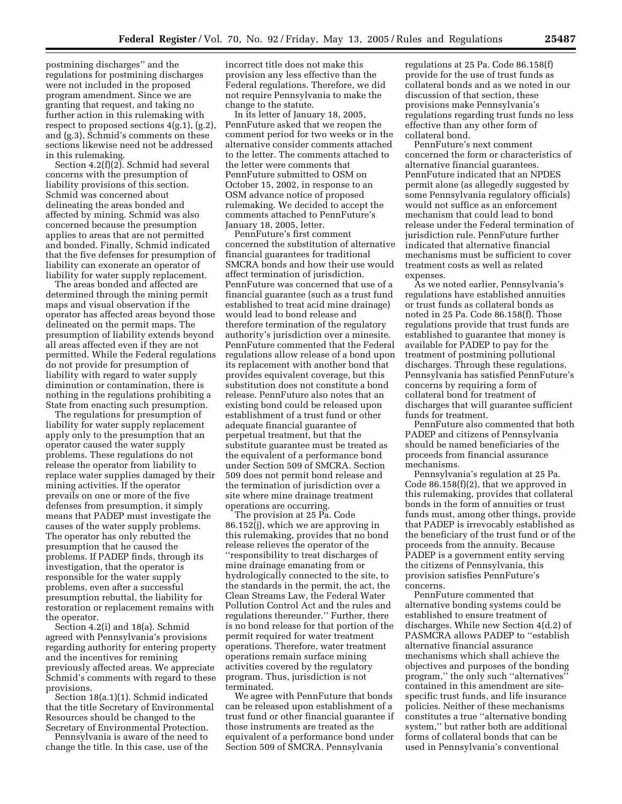postmining discharges'' and the regulations for postmining discharges were not included in the proposed program amendment. Since we are granting that request, and taking no further action in this rulemaking with respect to proposed sections 4(g.1), (g.2), and (g.3), Schmid's comments on these sections likewise need not be addressed in this rulemaking.

Section 4.2(f)(2). Schmid had several concerns with the presumption of liability provisions of this section. Schmid was concerned about delineating the areas bonded and affected by mining. Schmid was also concerned because the presumption applies to areas that are not permitted and bonded. Finally, Schmid indicated that the five defenses for presumption of liability can exonerate an operator of liability for water supply replacement.

The areas bonded and affected are determined through the mining permit maps and visual observation if the operator has affected areas beyond those delineated on the permit maps. The presumption of liability extends beyond all areas affected even if they are not permitted. While the Federal regulations do not provide for presumption of liability with regard to water supply diminution or contamination, there is nothing in the regulations prohibiting a State from enacting such presumption.

The regulations for presumption of liability for water supply replacement apply only to the presumption that an operator caused the water supply problems. These regulations do not release the operator from liability to replace water supplies damaged by their mining activities. If the operator prevails on one or more of the five defenses from presumption, it simply means that PADEP must investigate the causes of the water supply problems. The operator has only rebutted the presumption that he caused the problems. If PADEP finds, through its investigation, that the operator is responsible for the water supply problems, even after a successful presumption rebuttal, the liability for restoration or replacement remains with the operator.

Section 4.2(i) and 18(a). Schmid agreed with Pennsylvania's provisions regarding authority for entering property and the incentives for remining previously affected areas. We appreciate Schmid's comments with regard to these provisions.

Section 18(a.1)(1). Schmid indicated that the title Secretary of Environmental Resources should be changed to the Secretary of Environmental Protection.

Pennsylvania is aware of the need to change the title. In this case, use of the incorrect title does not make this provision any less effective than the Federal regulations. Therefore, we did not require Pennsylvania to make the change to the statute.

In its letter of January 18, 2005, PennFuture asked that we reopen the comment period for two weeks or in the alternative consider comments attached to the letter. The comments attached to the letter were comments that PennFuture submitted to OSM on October 15, 2002, in response to an OSM advance notice of proposed rulemaking. We decided to accept the comments attached to PennFuture's January 18, 2005, letter.

PennFuture's first comment concerned the substitution of alternative financial guarantees for traditional SMCRA bonds and how their use would affect termination of jurisdiction. PennFuture was concerned that use of a financial guarantee (such as a trust fund established to treat acid mine drainage) would lead to bond release and therefore termination of the regulatory authority's jurisdiction over a minesite. PennFuture commented that the Federal regulations allow release of a bond upon its replacement with another bond that provides equivalent coverage, but this substitution does not constitute a bond release. PennFuture also notes that an existing bond could be released upon establishment of a trust fund or other adequate financial guarantee of perpetual treatment, but that the substitute guarantee must be treated as the equivalent of a performance bond under Section 509 of SMCRA. Section 509 does not permit bond release and the termination of jurisdiction over a site where mine drainage treatment operations are occurring.

The provision at 25 Pa. Code 86.152(j), which we are approving in this rulemaking, provides that no bond release relieves the operator of the ''responsibility to treat discharges of mine drainage emanating from or hydrologically connected to the site, to the standards in the permit, the act, the Clean Streams Law, the Federal Water Pollution Control Act and the rules and regulations thereunder.'' Further, there is no bond release for that portion of the permit required for water treatment operations. Therefore, water treatment operations remain surface mining activities covered by the regulatory program. Thus, jurisdiction is not terminated.

We agree with PennFuture that bonds can be released upon establishment of a trust fund or other financial guarantee if those instruments are treated as the equivalent of a performance bond under Section 509 of SMCRA. Pennsylvania

regulations at 25 Pa. Code 86.158(f) provide for the use of trust funds as collateral bonds and as we noted in our discussion of that section, these provisions make Pennsylvania's regulations regarding trust funds no less effective than any other form of collateral bond.

PennFuture's next comment concerned the form or characteristics of alternative financial guarantees. PennFuture indicated that an NPDES permit alone (as allegedly suggested by some Pennsylvania regulatory officials) would not suffice as an enforcement mechanism that could lead to bond release under the Federal termination of jurisdiction rule. PennFuture further indicated that alternative financial mechanisms must be sufficient to cover treatment costs as well as related expenses.

As we noted earlier, Pennsylvania's regulations have established annuities or trust funds as collateral bonds as noted in 25 Pa. Code 86.158(f). Those regulations provide that trust funds are established to guarantee that money is available for PADEP to pay for the treatment of postmining pollutional discharges. Through these regulations, Pennsylvania has satisfied PennFuture's concerns by requiring a form of collateral bond for treatment of discharges that will guarantee sufficient funds for treatment.

PennFuture also commented that both PADEP and citizens of Pennsylvania should be named beneficiaries of the proceeds from financial assurance mechanisms.

Pennsylvania's regulation at 25 Pa. Code 86.158(f)(2), that we approved in this rulemaking, provides that collateral bonds in the form of annuities or trust funds must, among other things, provide that PADEP is irrevocably established as the beneficiary of the trust fund or of the proceeds from the annuity. Because PADEP is a government entity serving the citizens of Pennsylvania, this provision satisfies PennFuture's concerns.

PennFuture commented that alternative bonding systems could be established to ensure treatment of discharges. While new Section 4(d.2) of PASMCRA allows PADEP to ''establish alternative financial assurance mechanisms which shall achieve the objectives and purposes of the bonding program,'' the only such ''alternatives'' contained in this amendment are sitespecific trust funds, and life insurance policies. Neither of these mechanisms constitutes a true ''alternative bonding system,'' but rather both are additional forms of collateral bonds that can be used in Pennsylvania's conventional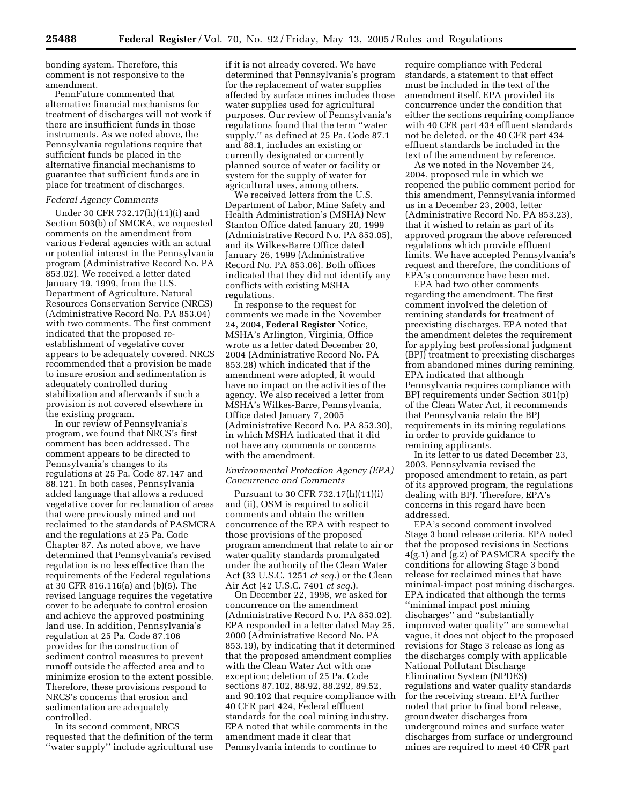bonding system. Therefore, this comment is not responsive to the amendment.

PennFuture commented that alternative financial mechanisms for treatment of discharges will not work if there are insufficient funds in those instruments. As we noted above, the Pennsylvania regulations require that sufficient funds be placed in the alternative financial mechanisms to guarantee that sufficient funds are in place for treatment of discharges.

### *Federal Agency Comments*

Under 30 CFR 732.17(h)(11)(i) and Section 503(b) of SMCRA, we requested comments on the amendment from various Federal agencies with an actual or potential interest in the Pennsylvania program (Administrative Record No. PA 853.02). We received a letter dated January 19, 1999, from the U.S. Department of Agriculture, Natural Resources Conservation Service (NRCS) (Administrative Record No. PA 853.04) with two comments. The first comment indicated that the proposed reestablishment of vegetative cover appears to be adequately covered. NRCS recommended that a provision be made to insure erosion and sedimentation is adequately controlled during stabilization and afterwards if such a provision is not covered elsewhere in the existing program.

In our review of Pennsylvania's program, we found that NRCS's first comment has been addressed. The comment appears to be directed to Pennsylvania's changes to its regulations at 25 Pa. Code 87.147 and 88.121. In both cases, Pennsylvania added language that allows a reduced vegetative cover for reclamation of areas that were previously mined and not reclaimed to the standards of PASMCRA and the regulations at 25 Pa. Code Chapter 87. As noted above, we have determined that Pennsylvania's revised regulation is no less effective than the requirements of the Federal regulations at 30 CFR 816.116(a) and (b)(5). The revised language requires the vegetative cover to be adequate to control erosion and achieve the approved postmining land use. In addition, Pennsylvania's regulation at 25 Pa. Code 87.106 provides for the construction of sediment control measures to prevent runoff outside the affected area and to minimize erosion to the extent possible. Therefore, these provisions respond to NRCS's concerns that erosion and sedimentation are adequately controlled.

In its second comment, NRCS requested that the definition of the term ''water supply'' include agricultural use if it is not already covered. We have determined that Pennsylvania's program for the replacement of water supplies affected by surface mines includes those water supplies used for agricultural purposes. Our review of Pennsylvania's regulations found that the term ''water supply,'' as defined at 25 Pa. Code 87.1 and 88.1, includes an existing or currently designated or currently planned source of water or facility or system for the supply of water for agricultural uses, among others.

We received letters from the U.S. Department of Labor, Mine Safety and Health Administration's (MSHA) New Stanton Office dated January 20, 1999 (Administrative Record No. PA 853.05), and its Wilkes-Barre Office dated January 26, 1999 (Administrative Record No. PA 853.06). Both offices indicated that they did not identify any conflicts with existing MSHA regulations.

In response to the request for comments we made in the November 24, 2004, **Federal Register** Notice, MSHA's Arlington, Virginia, Office wrote us a letter dated December 20, 2004 (Administrative Record No. PA 853.28) which indicated that if the amendment were adopted, it would have no impact on the activities of the agency. We also received a letter from MSHA's Wilkes-Barre, Pennsylvania, Office dated January 7, 2005 (Administrative Record No. PA 853.30), in which MSHA indicated that it did not have any comments or concerns with the amendment.

#### *Environmental Protection Agency (EPA) Concurrence and Comments*

Pursuant to 30 CFR 732.17(h)(11)(i) and (ii), OSM is required to solicit comments and obtain the written concurrence of the EPA with respect to those provisions of the proposed program amendment that relate to air or water quality standards promulgated under the authority of the Clean Water Act (33 U.S.C. 1251 *et seq.*) or the Clean Air Act (42 U.S.C. 7401 *et seq.*).

On December 22, 1998, we asked for concurrence on the amendment (Administrative Record No. PA 853.02). EPA responded in a letter dated May 25, 2000 (Administrative Record No. PA 853.19), by indicating that it determined that the proposed amendment complies with the Clean Water Act with one exception; deletion of 25 Pa. Code sections 87.102, 88.92, 88.292, 89.52, and 90.102 that require compliance with 40 CFR part 424, Federal effluent standards for the coal mining industry. EPA noted that while comments in the amendment made it clear that Pennsylvania intends to continue to

require compliance with Federal standards, a statement to that effect must be included in the text of the amendment itself. EPA provided its concurrence under the condition that either the sections requiring compliance with 40 CFR part 434 effluent standards not be deleted, or the 40 CFR part 434 effluent standards be included in the text of the amendment by reference.

As we noted in the November 24, 2004, proposed rule in which we reopened the public comment period for this amendment, Pennsylvania informed us in a December 23, 2003, letter (Administrative Record No. PA 853.23), that it wished to retain as part of its approved program the above referenced regulations which provide effluent limits. We have accepted Pennsylvania's request and therefore, the conditions of EPA's concurrence have been met.

EPA had two other comments regarding the amendment. The first comment involved the deletion of remining standards for treatment of preexisting discharges. EPA noted that the amendment deletes the requirement for applying best professional judgment (BPJ) treatment to preexisting discharges from abandoned mines during remining. EPA indicated that although Pennsylvania requires compliance with BPJ requirements under Section 301(p) of the Clean Water Act, it recommends that Pennsylvania retain the BPJ requirements in its mining regulations in order to provide guidance to remining applicants.

In its letter to us dated December 23, 2003, Pennsylvania revised the proposed amendment to retain, as part of its approved program, the regulations dealing with BPJ. Therefore, EPA's concerns in this regard have been addressed.

EPA's second comment involved Stage 3 bond release criteria. EPA noted that the proposed revisions in Sections 4(g.1) and (g.2) of PASMCRA specify the conditions for allowing Stage 3 bond release for reclaimed mines that have minimal-impact post mining discharges. EPA indicated that although the terms ''minimal impact post mining discharges'' and ''substantially improved water quality'' are somewhat vague, it does not object to the proposed revisions for Stage 3 release as long as the discharges comply with applicable National Pollutant Discharge Elimination System (NPDES) regulations and water quality standards for the receiving stream. EPA further noted that prior to final bond release, groundwater discharges from underground mines and surface water discharges from surface or underground mines are required to meet 40 CFR part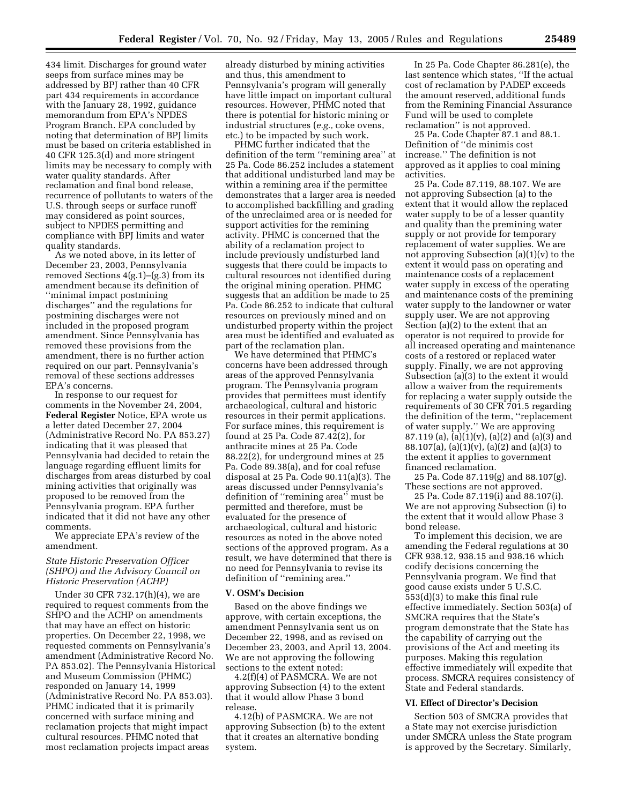434 limit. Discharges for ground water seeps from surface mines may be addressed by BPJ rather than 40 CFR part 434 requirements in accordance with the January 28, 1992, guidance memorandum from EPA's NPDES Program Branch. EPA concluded by noting that determination of BPJ limits must be based on criteria established in 40 CFR 125.3(d) and more stringent limits may be necessary to comply with water quality standards. After reclamation and final bond release, recurrence of pollutants to waters of the U.S. through seeps or surface runoff may considered as point sources, subject to NPDES permitting and compliance with BPJ limits and water quality standards.

As we noted above, in its letter of December 23, 2003, Pennsylvania removed Sections  $4(g.1)$ – $(g.3)$  from its amendment because its definition of ''minimal impact postmining discharges'' and the regulations for postmining discharges were not included in the proposed program amendment. Since Pennsylvania has removed these provisions from the amendment, there is no further action required on our part. Pennsylvania's removal of these sections addresses EPA's concerns.

In response to our request for comments in the November 24, 2004, **Federal Register** Notice, EPA wrote us a letter dated December 27, 2004 (Administrative Record No. PA 853.27) indicating that it was pleased that Pennsylvania had decided to retain the language regarding effluent limits for discharges from areas disturbed by coal mining activities that originally was proposed to be removed from the Pennsylvania program. EPA further indicated that it did not have any other comments.

We appreciate EPA's review of the amendment.

# *State Historic Preservation Officer (SHPO) and the Advisory Council on Historic Preservation (ACHP)*

Under 30 CFR 732.17(h)(4), we are required to request comments from the SHPO and the ACHP on amendments that may have an effect on historic properties. On December 22, 1998, we requested comments on Pennsylvania's amendment (Administrative Record No. PA 853.02). The Pennsylvania Historical and Museum Commission (PHMC) responded on January 14, 1999 (Administrative Record No. PA 853.03). PHMC indicated that it is primarily concerned with surface mining and reclamation projects that might impact cultural resources. PHMC noted that most reclamation projects impact areas

already disturbed by mining activities and thus, this amendment to Pennsylvania's program will generally have little impact on important cultural resources. However, PHMC noted that there is potential for historic mining or industrial structures (*e.g.,* coke ovens, etc.) to be impacted by such work.

PHMC further indicated that the definition of the term ''remining area'' at 25 Pa. Code 86.252 includes a statement that additional undisturbed land may be within a remining area if the permittee demonstrates that a larger area is needed to accomplished backfilling and grading of the unreclaimed area or is needed for support activities for the remining activity. PHMC is concerned that the ability of a reclamation project to include previously undisturbed land suggests that there could be impacts to cultural resources not identified during the original mining operation. PHMC suggests that an addition be made to 25 Pa. Code 86.252 to indicate that cultural resources on previously mined and on undisturbed property within the project area must be identified and evaluated as part of the reclamation plan.

We have determined that PHMC's concerns have been addressed through areas of the approved Pennsylvania program. The Pennsylvania program provides that permittees must identify archaeological, cultural and historic resources in their permit applications. For surface mines, this requirement is found at 25 Pa. Code 87.42(2), for anthracite mines at 25 Pa. Code 88.22(2), for underground mines at 25 Pa. Code 89.38(a), and for coal refuse disposal at 25 Pa. Code 90.11(a)(3). The areas discussed under Pennsylvania's definition of ''remining area'' must be permitted and therefore, must be evaluated for the presence of archaeological, cultural and historic resources as noted in the above noted sections of the approved program. As a result, we have determined that there is no need for Pennsylvania to revise its definition of ''remining area.''

#### **V. OSM's Decision**

Based on the above findings we approve, with certain exceptions, the amendment Pennsylvania sent us on December 22, 1998, and as revised on December 23, 2003, and April 13, 2004. We are not approving the following sections to the extent noted:

4.2(f)(4) of PASMCRA. We are not approving Subsection (4) to the extent that it would allow Phase 3 bond release.

4.12(b) of PASMCRA. We are not approving Subsection (b) to the extent that it creates an alternative bonding system.

In 25 Pa. Code Chapter 86.281(e), the last sentence which states, ''If the actual cost of reclamation by PADEP exceeds the amount reserved, additional funds from the Remining Financial Assurance Fund will be used to complete reclamation'' is not approved.

25 Pa. Code Chapter 87.1 and 88.1. Definition of ''de minimis cost increase.'' The definition is not approved as it applies to coal mining activities.

25 Pa. Code 87.119, 88.107. We are not approving Subsection (a) to the extent that it would allow the replaced water supply to be of a lesser quantity and quality than the premining water supply or not provide for temporary replacement of water supplies. We are not approving Subsection (a)(1)(v) to the extent it would pass on operating and maintenance costs of a replacement water supply in excess of the operating and maintenance costs of the premining water supply to the landowner or water supply user. We are not approving Section (a)(2) to the extent that an operator is not required to provide for all increased operating and maintenance costs of a restored or replaced water supply. Finally, we are not approving Subsection (a)(3) to the extent it would allow a waiver from the requirements for replacing a water supply outside the requirements of 30 CFR 701.5 regarding the definition of the term, ''replacement of water supply.'' We are approving 87.119 (a),  $(a)(1)(v)$ ,  $(a)(2)$  and  $(a)(3)$  and 88.107(a), (a)(1)(v), (a)(2) and (a)(3) to the extent it applies to government financed reclamation.

25 Pa. Code 87.119(g) and 88.107(g). These sections are not approved.

25 Pa. Code 87.119(i) and 88.107(i). We are not approving Subsection (i) to the extent that it would allow Phase 3 bond release.

To implement this decision, we are amending the Federal regulations at 30 CFR 938.12, 938.15 and 938.16 which codify decisions concerning the Pennsylvania program. We find that good cause exists under 5 U.S.C. 553(d)(3) to make this final rule effective immediately. Section 503(a) of SMCRA requires that the State's program demonstrate that the State has the capability of carrying out the provisions of the Act and meeting its purposes. Making this regulation effective immediately will expedite that process. SMCRA requires consistency of State and Federal standards.

#### **VI. Effect of Director's Decision**

Section 503 of SMCRA provides that a State may not exercise jurisdiction under SMCRA unless the State program is approved by the Secretary. Similarly,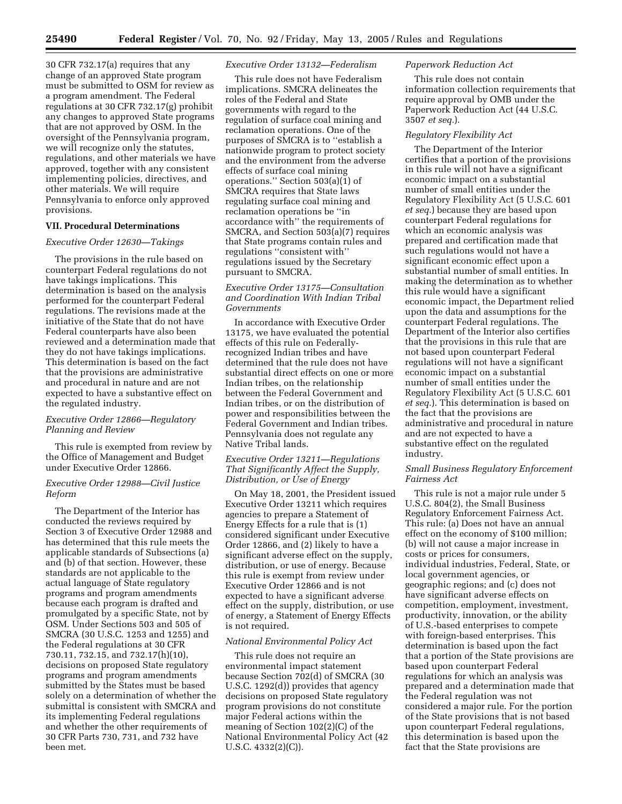30 CFR 732.17(a) requires that any change of an approved State program must be submitted to OSM for review as a program amendment. The Federal regulations at 30 CFR 732.17(g) prohibit any changes to approved State programs that are not approved by OSM. In the oversight of the Pennsylvania program, we will recognize only the statutes, regulations, and other materials we have approved, together with any consistent implementing policies, directives, and other materials. We will require Pennsylvania to enforce only approved provisions.

### **VII. Procedural Determinations**

#### *Executive Order 12630—Takings*

The provisions in the rule based on counterpart Federal regulations do not have takings implications. This determination is based on the analysis performed for the counterpart Federal regulations. The revisions made at the initiative of the State that do not have Federal counterparts have also been reviewed and a determination made that they do not have takings implications. This determination is based on the fact that the provisions are administrative and procedural in nature and are not expected to have a substantive effect on the regulated industry.

### *Executive Order 12866—Regulatory Planning and Review*

This rule is exempted from review by the Office of Management and Budget under Executive Order 12866.

# *Executive Order 12988—Civil Justice Reform*

The Department of the Interior has conducted the reviews required by Section 3 of Executive Order 12988 and has determined that this rule meets the applicable standards of Subsections (a) and (b) of that section. However, these standards are not applicable to the actual language of State regulatory programs and program amendments because each program is drafted and promulgated by a specific State, not by OSM. Under Sections 503 and 505 of SMCRA (30 U.S.C. 1253 and 1255) and the Federal regulations at 30 CFR 730.11, 732.15, and 732.17(h)(10), decisions on proposed State regulatory programs and program amendments submitted by the States must be based solely on a determination of whether the submittal is consistent with SMCRA and its implementing Federal regulations and whether the other requirements of 30 CFR Parts 730, 731, and 732 have been met.

#### *Executive Order 13132—Federalism*

This rule does not have Federalism implications. SMCRA delineates the roles of the Federal and State governments with regard to the regulation of surface coal mining and reclamation operations. One of the purposes of SMCRA is to ''establish a nationwide program to protect society and the environment from the adverse effects of surface coal mining operations.'' Section 503(a)(1) of SMCRA requires that State laws regulating surface coal mining and reclamation operations be ''in accordance with'' the requirements of SMCRA, and Section 503(a)(7) requires that State programs contain rules and regulations ''consistent with'' regulations issued by the Secretary pursuant to SMCRA.

### *Executive Order 13175—Consultation and Coordination With Indian Tribal Governments*

In accordance with Executive Order 13175, we have evaluated the potential effects of this rule on Federallyrecognized Indian tribes and have determined that the rule does not have substantial direct effects on one or more Indian tribes, on the relationship between the Federal Government and Indian tribes, or on the distribution of power and responsibilities between the Federal Government and Indian tribes. Pennsylvania does not regulate any Native Tribal lands.

# *Executive Order 13211—Regulations That Significantly Affect the Supply, Distribution, or Use of Energy*

On May 18, 2001, the President issued Executive Order 13211 which requires agencies to prepare a Statement of Energy Effects for a rule that is (1) considered significant under Executive Order 12866, and (2) likely to have a significant adverse effect on the supply, distribution, or use of energy. Because this rule is exempt from review under Executive Order 12866 and is not expected to have a significant adverse effect on the supply, distribution, or use of energy, a Statement of Energy Effects is not required.

# *National Environmental Policy Act*

This rule does not require an environmental impact statement because Section 702(d) of SMCRA (30 U.S.C. 1292(d)) provides that agency decisions on proposed State regulatory program provisions do not constitute major Federal actions within the meaning of Section 102(2)(C) of the National Environmental Policy Act (42 U.S.C. 4332(2)(C)).

### *Paperwork Reduction Act*

This rule does not contain information collection requirements that require approval by OMB under the Paperwork Reduction Act (44 U.S.C. 3507 *et seq.*).

#### *Regulatory Flexibility Act*

The Department of the Interior certifies that a portion of the provisions in this rule will not have a significant economic impact on a substantial number of small entities under the Regulatory Flexibility Act (5 U.S.C. 601 *et seq.*) because they are based upon counterpart Federal regulations for which an economic analysis was prepared and certification made that such regulations would not have a significant economic effect upon a substantial number of small entities. In making the determination as to whether this rule would have a significant economic impact, the Department relied upon the data and assumptions for the counterpart Federal regulations. The Department of the Interior also certifies that the provisions in this rule that are not based upon counterpart Federal regulations will not have a significant economic impact on a substantial number of small entities under the Regulatory Flexibility Act (5 U.S.C. 601 *et seq.*). This determination is based on the fact that the provisions are administrative and procedural in nature and are not expected to have a substantive effect on the regulated industry.

# *Small Business Regulatory Enforcement Fairness Act*

This rule is not a major rule under 5 U.S.C. 804(2), the Small Business Regulatory Enforcement Fairness Act. This rule: (a) Does not have an annual effect on the economy of \$100 million; (b) will not cause a major increase in costs or prices for consumers, individual industries, Federal, State, or local government agencies, or geographic regions; and (c) does not have significant adverse effects on competition, employment, investment, productivity, innovation, or the ability of U.S.-based enterprises to compete with foreign-based enterprises. This determination is based upon the fact that a portion of the State provisions are based upon counterpart Federal regulations for which an analysis was prepared and a determination made that the Federal regulation was not considered a major rule. For the portion of the State provisions that is not based upon counterpart Federal regulations, this determination is based upon the fact that the State provisions are